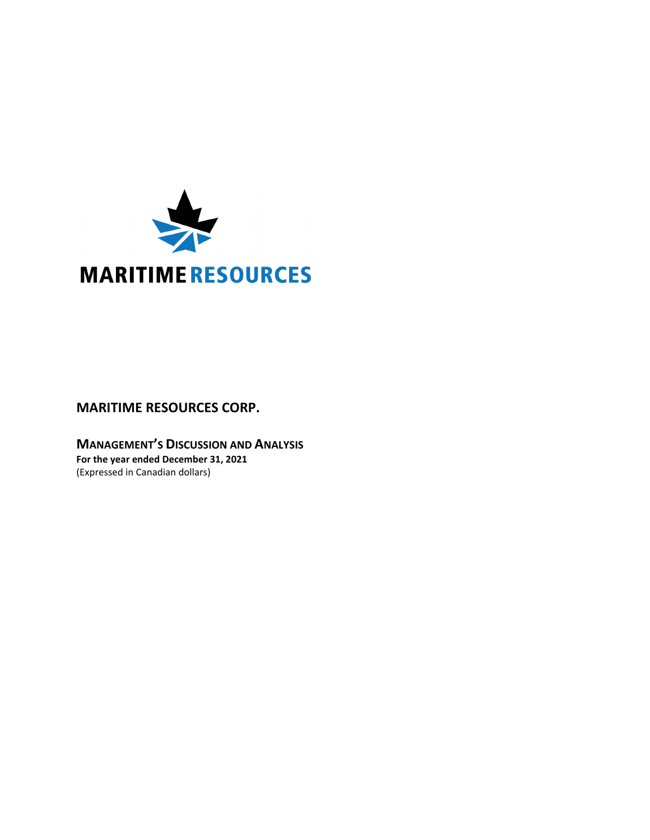

# **MARITIME RESOURCES CORP.**

**MANAGEMENT'S DISCUSSION AND ANALYSIS For the year ended December 31, 2021** (Expressed in Canadian dollars)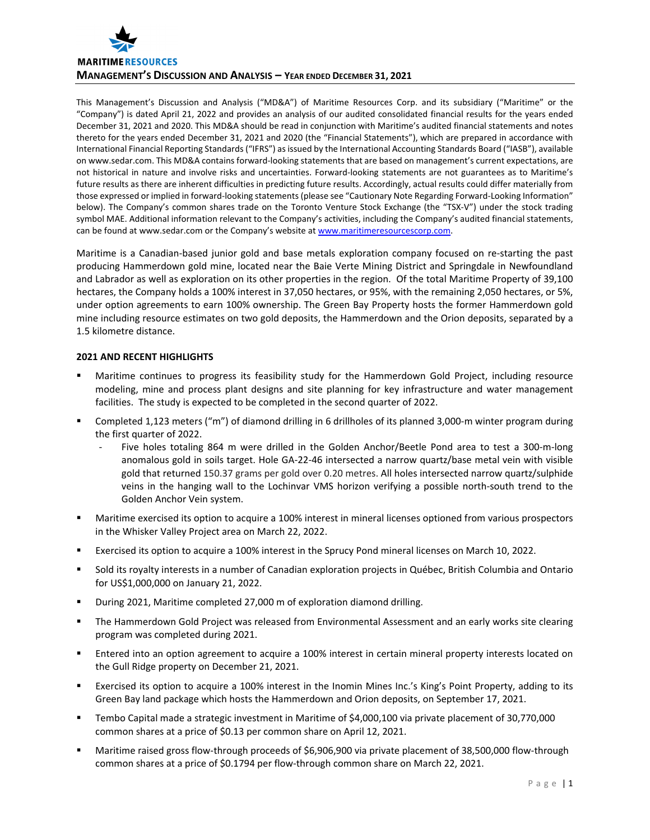

This Management's Discussion and Analysis ("MD&A") of Maritime Resources Corp. and its subsidiary ("Maritime" or the "Company") is dated April 21, 2022 and provides an analysis of our audited consolidated financial results for the years ended December 31, 2021 and 2020. This MD&A should be read in conjunction with Maritime's audited financial statements and notes thereto for the years ended December 31, 2021 and 2020 (the "Financial Statements"), which are prepared in accordance with International Financial Reporting Standards("IFRS") as issued by the International Accounting Standards Board ("IASB"), available on www.sedar.com. This MD&A contains forward‐looking statements that are based on management's current expectations, are not historical in nature and involve risks and uncertainties. Forward-looking statements are not guarantees as to Maritime's future results as there are inherent difficulties in predicting future results. Accordingly, actual results could differ materially from those expressed or implied in forward-looking statements (please see "Cautionary Note Regarding Forward-Looking Information" below). The Company's common shares trade on the Toronto Venture Stock Exchange (the "TSX‐V") under the stock trading symbol MAE. Additional information relevant to the Company's activities, including the Company's audited financial statements, can be found at www.sedar.com or the Company's website at www.maritimeresourcescorp.com.

Maritime is a Canadian‐based junior gold and base metals exploration company focused on re‐starting the past producing Hammerdown gold mine, located near the Baie Verte Mining District and Springdale in Newfoundland and Labrador as well as exploration on its other properties in the region. Of the total Maritime Property of 39,100 hectares, the Company holds a 100% interest in 37,050 hectares, or 95%, with the remaining 2,050 hectares, or 5%, under option agreements to earn 100% ownership. The Green Bay Property hosts the former Hammerdown gold mine including resource estimates on two gold deposits, the Hammerdown and the Orion deposits, separated by a 1.5 kilometre distance.

# **2021 AND RECENT HIGHLIGHTS**

- Maritime continues to progress its feasibility study for the Hammerdown Gold Project, including resource modeling, mine and process plant designs and site planning for key infrastructure and water management facilities. The study is expected to be completed in the second quarter of 2022.
- Completed 1,123 meters ("m") of diamond drilling in 6 drillholes of its planned 3,000‐m winter program during the first quarter of 2022.
	- Five holes totaling 864 m were drilled in the Golden Anchor/Beetle Pond area to test a 300-m-long anomalous gold in soils target. Hole GA‐22‐46 intersected a narrow quartz/base metal vein with visible gold that returned 150.37 grams per gold over 0.20 metres. All holes intersected narrow quartz/sulphide veins in the hanging wall to the Lochinvar VMS horizon verifying a possible north‐south trend to the Golden Anchor Vein system.
- Maritime exercised its option to acquire a 100% interest in mineral licenses optioned from various prospectors in the Whisker Valley Project area on March 22, 2022.
- Exercised its option to acquire a 100% interest in the Sprucy Pond mineral licenses on March 10, 2022.
- Sold its royalty interests in a number of Canadian exploration projects in Québec, British Columbia and Ontario for US\$1,000,000 on January 21, 2022.
- During 2021, Maritime completed 27,000 m of exploration diamond drilling.
- The Hammerdown Gold Project was released from Environmental Assessment and an early works site clearing program was completed during 2021.
- Entered into an option agreement to acquire a 100% interest in certain mineral property interests located on the Gull Ridge property on December 21, 2021.
- Exercised its option to acquire a 100% interest in the Inomin Mines Inc.'s King's Point Property, adding to its Green Bay land package which hosts the Hammerdown and Orion deposits, on September 17, 2021.
- Tembo Capital made a strategic investment in Maritime of \$4,000,100 via private placement of 30,770,000 common shares at a price of \$0.13 per common share on April 12, 2021.
- Maritime raised gross flow-through proceeds of \$6,906,900 via private placement of 38,500,000 flow-through common shares at a price of \$0.1794 per flow-through common share on March 22, 2021.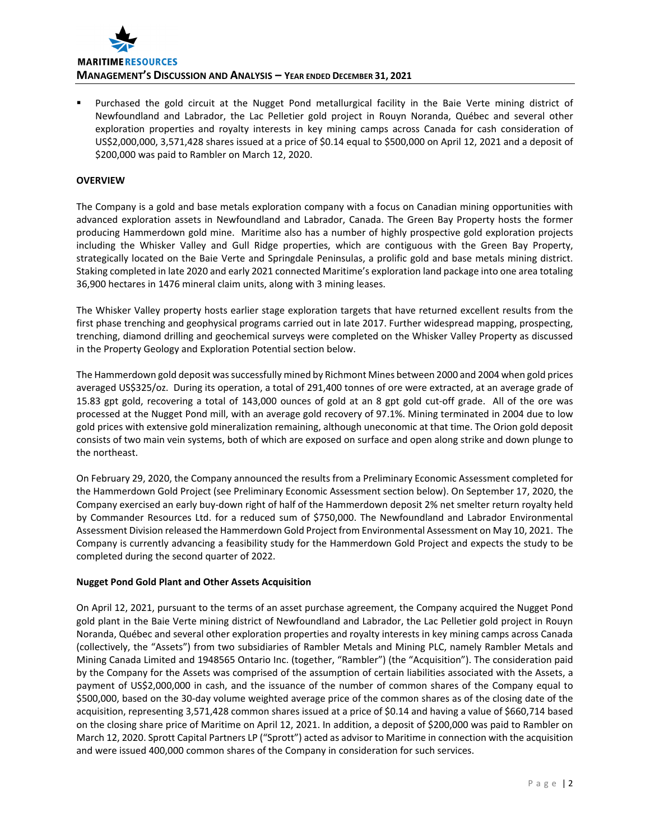

 Purchased the gold circuit at the Nugget Pond metallurgical facility in the Baie Verte mining district of Newfoundland and Labrador, the Lac Pelletier gold project in Rouyn Noranda, Québec and several other exploration properties and royalty interests in key mining camps across Canada for cash consideration of US\$2,000,000, 3,571,428 shares issued at a price of \$0.14 equal to \$500,000 on April 12, 2021 and a deposit of \$200,000 was paid to Rambler on March 12, 2020.

# **OVERVIEW**

The Company is a gold and base metals exploration company with a focus on Canadian mining opportunities with advanced exploration assets in Newfoundland and Labrador, Canada. The Green Bay Property hosts the former producing Hammerdown gold mine. Maritime also has a number of highly prospective gold exploration projects including the Whisker Valley and Gull Ridge properties, which are contiguous with the Green Bay Property, strategically located on the Baie Verte and Springdale Peninsulas, a prolific gold and base metals mining district. Staking completed in late 2020 and early 2021 connected Maritime's exploration land package into one area totaling 36,900 hectares in 1476 mineral claim units, along with 3 mining leases.

The Whisker Valley property hosts earlier stage exploration targets that have returned excellent results from the first phase trenching and geophysical programs carried out in late 2017. Further widespread mapping, prospecting, trenching, diamond drilling and geochemical surveys were completed on the Whisker Valley Property as discussed in the Property Geology and Exploration Potential section below.

The Hammerdown gold deposit wassuccessfully mined by Richmont Mines between 2000 and 2004 when gold prices averaged US\$325/oz. During its operation, a total of 291,400 tonnes of ore were extracted, at an average grade of 15.83 gpt gold, recovering a total of 143,000 ounces of gold at an 8 gpt gold cut‐off grade. All of the ore was processed at the Nugget Pond mill, with an average gold recovery of 97.1%. Mining terminated in 2004 due to low gold prices with extensive gold mineralization remaining, although uneconomic at that time. The Orion gold deposit consists of two main vein systems, both of which are exposed on surface and open along strike and down plunge to the northeast.

On February 29, 2020, the Company announced the results from a Preliminary Economic Assessment completed for the Hammerdown Gold Project (see Preliminary Economic Assessment section below). On September 17, 2020, the Company exercised an early buy‐down right of half of the Hammerdown deposit 2% net smelter return royalty held by Commander Resources Ltd. for a reduced sum of \$750,000. The Newfoundland and Labrador Environmental Assessment Division released the Hammerdown Gold Project from Environmental Assessment on May 10, 2021. The Company is currently advancing a feasibility study for the Hammerdown Gold Project and expects the study to be completed during the second quarter of 2022.

# **Nugget Pond Gold Plant and Other Assets Acquisition**

On April 12, 2021, pursuant to the terms of an asset purchase agreement, the Company acquired the Nugget Pond gold plant in the Baie Verte mining district of Newfoundland and Labrador, the Lac Pelletier gold project in Rouyn Noranda, Québec and several other exploration properties and royalty interests in key mining camps across Canada (collectively, the "Assets") from two subsidiaries of Rambler Metals and Mining PLC, namely Rambler Metals and Mining Canada Limited and 1948565 Ontario Inc. (together, "Rambler") (the "Acquisition"). The consideration paid by the Company for the Assets was comprised of the assumption of certain liabilities associated with the Assets, a payment of US\$2,000,000 in cash, and the issuance of the number of common shares of the Company equal to \$500,000, based on the 30‐day volume weighted average price of the common shares as of the closing date of the acquisition, representing 3,571,428 common shares issued at a price of \$0.14 and having a value of \$660,714 based on the closing share price of Maritime on April 12, 2021. In addition, a deposit of \$200,000 was paid to Rambler on March 12, 2020. Sprott Capital Partners LP ("Sprott") acted as advisor to Maritime in connection with the acquisition and were issued 400,000 common shares of the Company in consideration for such services.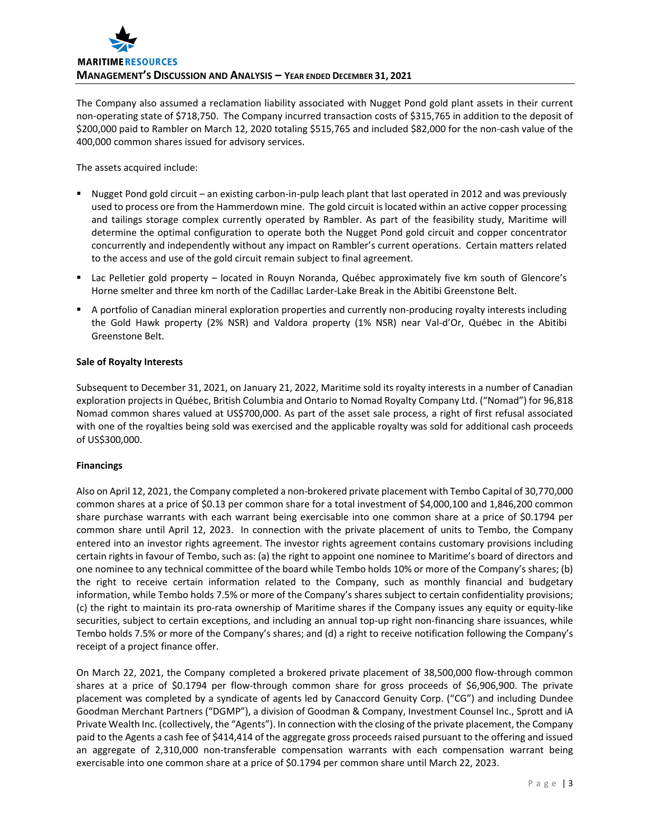

The Company also assumed a reclamation liability associated with Nugget Pond gold plant assets in their current non‐operating state of \$718,750. The Company incurred transaction costs of \$315,765 in addition to the deposit of \$200,000 paid to Rambler on March 12, 2020 totaling \$515,765 and included \$82,000 for the non‐cash value of the 400,000 common shares issued for advisory services.

The assets acquired include:

- Nugget Pond gold circuit an existing carbon-in-pulp leach plant that last operated in 2012 and was previously used to process ore from the Hammerdown mine. The gold circuit islocated within an active copper processing and tailings storage complex currently operated by Rambler. As part of the feasibility study, Maritime will determine the optimal configuration to operate both the Nugget Pond gold circuit and copper concentrator concurrently and independently without any impact on Rambler's current operations. Certain matters related to the access and use of the gold circuit remain subject to final agreement.
- Lac Pelletier gold property located in Rouyn Noranda, Québec approximately five km south of Glencore's Horne smelter and three km north of the Cadillac Larder‐Lake Break in the Abitibi Greenstone Belt.
- A portfolio of Canadian mineral exploration properties and currently non-producing royalty interests including the Gold Hawk property (2% NSR) and Valdora property (1% NSR) near Val‐d'Or, Québec in the Abitibi Greenstone Belt.

# **Sale of Royalty Interests**

Subsequent to December 31, 2021, on January 21, 2022, Maritime sold its royalty interests in a number of Canadian exploration projects in Québec, British Columbia and Ontario to Nomad Royalty Company Ltd. ("Nomad") for 96,818 Nomad common shares valued at US\$700,000. As part of the asset sale process, a right of first refusal associated with one of the royalties being sold was exercised and the applicable royalty was sold for additional cash proceeds of US\$300,000.

# **Financings**

Also on April 12, 2021, the Company completed a non‐brokered private placement with Tembo Capital of 30,770,000 common shares at a price of \$0.13 per common share for a total investment of \$4,000,100 and 1,846,200 common share purchase warrants with each warrant being exercisable into one common share at a price of \$0.1794 per common share until April 12, 2023. In connection with the private placement of units to Tembo, the Company entered into an investor rights agreement. The investor rights agreement contains customary provisions including certain rights in favour of Tembo, such as: (a) the right to appoint one nominee to Maritime's board of directors and one nominee to any technical committee of the board while Tembo holds 10% or more of the Company's shares; (b) the right to receive certain information related to the Company, such as monthly financial and budgetary information, while Tembo holds 7.5% or more of the Company's shares subject to certain confidentiality provisions; (c) the right to maintain its pro‐rata ownership of Maritime shares if the Company issues any equity or equity‐like securities, subject to certain exceptions, and including an annual top-up right non-financing share issuances, while Tembo holds 7.5% or more of the Company's shares; and (d) a right to receive notification following the Company's receipt of a project finance offer.

On March 22, 2021, the Company completed a brokered private placement of 38,500,000 flow‐through common shares at a price of \$0.1794 per flow-through common share for gross proceeds of \$6,906,900. The private placement was completed by a syndicate of agents led by Canaccord Genuity Corp. ("CG") and including Dundee Goodman Merchant Partners ("DGMP"), a division of Goodman & Company, Investment Counsel Inc., Sprott and iA Private Wealth Inc. (collectively, the "Agents"). In connection with the closing of the private placement, the Company paid to the Agents a cash fee of \$414,414 of the aggregate gross proceeds raised pursuant to the offering and issued an aggregate of 2,310,000 non-transferable compensation warrants with each compensation warrant being exercisable into one common share at a price of \$0.1794 per common share until March 22, 2023.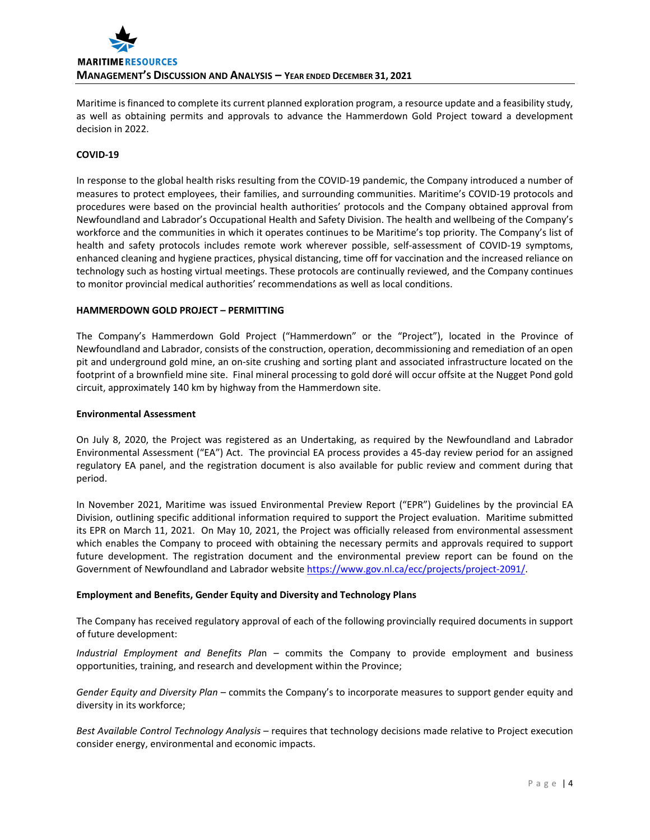

Maritime is financed to complete its current planned exploration program, a resource update and a feasibility study, as well as obtaining permits and approvals to advance the Hammerdown Gold Project toward a development decision in 2022.

# **COVID‐19**

In response to the global health risks resulting from the COVID‐19 pandemic, the Company introduced a number of measures to protect employees, their families, and surrounding communities. Maritime's COVID‐19 protocols and procedures were based on the provincial health authorities' protocols and the Company obtained approval from Newfoundland and Labrador's Occupational Health and Safety Division. The health and wellbeing of the Company's workforce and the communities in which it operates continues to be Maritime's top priority. The Company's list of health and safety protocols includes remote work wherever possible, self-assessment of COVID-19 symptoms, enhanced cleaning and hygiene practices, physical distancing, time off for vaccination and the increased reliance on technology such as hosting virtual meetings. These protocols are continually reviewed, and the Company continues to monitor provincial medical authorities' recommendations as well as local conditions.

# **HAMMERDOWN GOLD PROJECT – PERMITTING**

The Company's Hammerdown Gold Project ("Hammerdown" or the "Project"), located in the Province of Newfoundland and Labrador, consists of the construction, operation, decommissioning and remediation of an open pit and underground gold mine, an on‐site crushing and sorting plant and associated infrastructure located on the footprint of a brownfield mine site. Final mineral processing to gold doré will occur offsite at the Nugget Pond gold circuit, approximately 140 km by highway from the Hammerdown site.

#### **Environmental Assessment**

On July 8, 2020, the Project was registered as an Undertaking, as required by the Newfoundland and Labrador Environmental Assessment ("EA") Act. The provincial EA process provides a 45‐day review period for an assigned regulatory EA panel, and the registration document is also available for public review and comment during that period.

In November 2021, Maritime was issued Environmental Preview Report ("EPR") Guidelines by the provincial EA Division, outlining specific additional information required to support the Project evaluation. Maritime submitted its EPR on March 11, 2021. On May 10, 2021, the Project was officially released from environmental assessment which enables the Company to proceed with obtaining the necessary permits and approvals required to support future development. The registration document and the environmental preview report can be found on the Government of Newfoundland and Labrador website https://www.gov.nl.ca/ecc/projects/project-2091/.

# **Employment and Benefits, Gender Equity and Diversity and Technology Plans**

The Company has received regulatory approval of each of the following provincially required documents in support of future development:

*Industrial Employment and Benefits Pla*n – commits the Company to provide employment and business opportunities, training, and research and development within the Province;

*Gender Equity and Diversity Plan* – commits the Company's to incorporate measures to support gender equity and diversity in its workforce;

*Best Available Control Technology Analysis* – requires that technology decisions made relative to Project execution consider energy, environmental and economic impacts.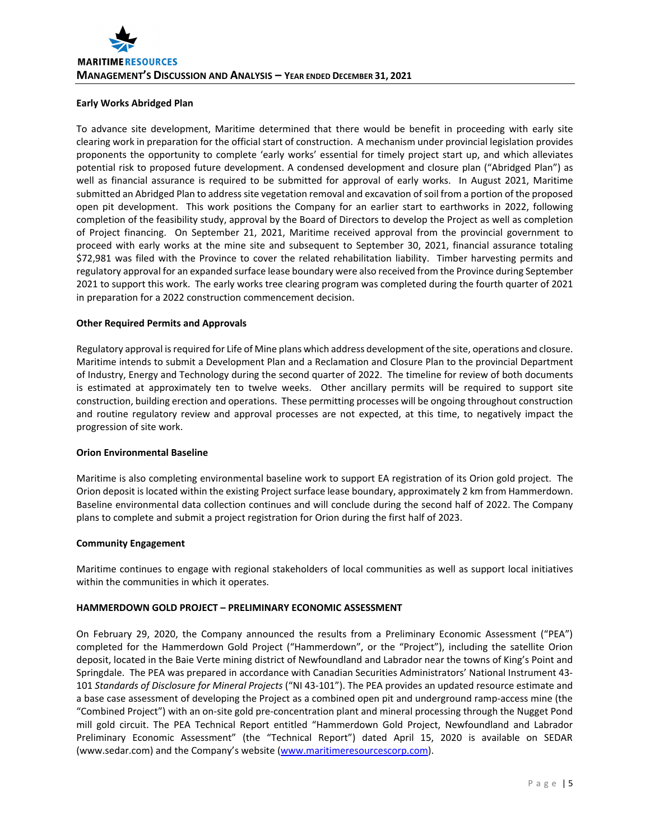# **Early Works Abridged Plan**

To advance site development, Maritime determined that there would be benefit in proceeding with early site clearing work in preparation for the official start of construction. A mechanism under provincial legislation provides proponents the opportunity to complete 'early works' essential for timely project start up, and which alleviates potential risk to proposed future development. A condensed development and closure plan ("Abridged Plan") as well as financial assurance is required to be submitted for approval of early works. In August 2021, Maritime submitted an Abridged Plan to address site vegetation removal and excavation of soil from a portion of the proposed open pit development. This work positions the Company for an earlier start to earthworks in 2022, following completion of the feasibility study, approval by the Board of Directors to develop the Project as well as completion of Project financing. On September 21, 2021, Maritime received approval from the provincial government to proceed with early works at the mine site and subsequent to September 30, 2021, financial assurance totaling \$72,981 was filed with the Province to cover the related rehabilitation liability. Timber harvesting permits and regulatory approval for an expanded surface lease boundary were also received from the Province during September 2021 to support this work. The early works tree clearing program was completed during the fourth quarter of 2021 in preparation for a 2022 construction commencement decision.

# **Other Required Permits and Approvals**

Regulatory approval isrequired for Life of Mine plans which address development of the site, operations and closure. Maritime intends to submit a Development Plan and a Reclamation and Closure Plan to the provincial Department of Industry, Energy and Technology during the second quarter of 2022. The timeline for review of both documents is estimated at approximately ten to twelve weeks. Other ancillary permits will be required to support site construction, building erection and operations. These permitting processes will be ongoing throughout construction and routine regulatory review and approval processes are not expected, at this time, to negatively impact the progression of site work.

# **Orion Environmental Baseline**

Maritime is also completing environmental baseline work to support EA registration of its Orion gold project. The Orion deposit is located within the existing Project surface lease boundary, approximately 2 km from Hammerdown. Baseline environmental data collection continues and will conclude during the second half of 2022. The Company plans to complete and submit a project registration for Orion during the first half of 2023.

# **Community Engagement**

Maritime continues to engage with regional stakeholders of local communities as well as support local initiatives within the communities in which it operates.

# **HAMMERDOWN GOLD PROJECT – PRELIMINARY ECONOMIC ASSESSMENT**

On February 29, 2020, the Company announced the results from a Preliminary Economic Assessment ("PEA") completed for the Hammerdown Gold Project ("Hammerdown", or the "Project"), including the satellite Orion deposit, located in the Baie Verte mining district of Newfoundland and Labrador near the towns of King's Point and Springdale. The PEA was prepared in accordance with Canadian Securities Administrators' National Instrument 43‐ 101 *Standards of Disclosure for Mineral Projects* ("NI 43‐101"). The PEA provides an updated resource estimate and a base case assessment of developing the Project as a combined open pit and underground ramp-access mine (the "Combined Project") with an on‐site gold pre‐concentration plant and mineral processing through the Nugget Pond mill gold circuit. The PEA Technical Report entitled "Hammerdown Gold Project, Newfoundland and Labrador Preliminary Economic Assessment" (the "Technical Report") dated April 15, 2020 is available on SEDAR (www.sedar.com) and the Company's website (www.maritimeresourcescorp.com).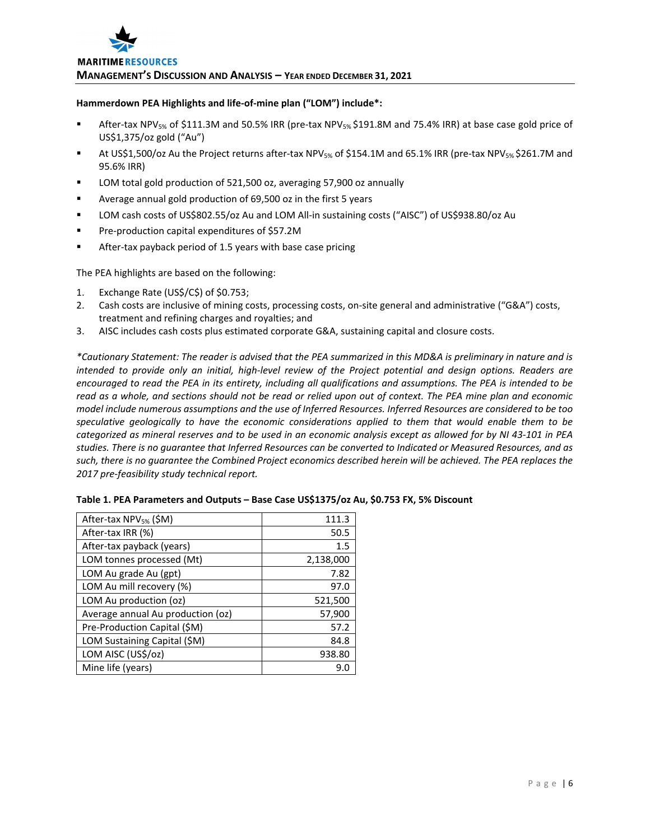# **Hammerdown PEA Highlights and life‐of‐mine plan ("LOM") include\*:**

- After-tax NPV<sub>5%</sub> of \$111.3M and 50.5% IRR (pre-tax NPV<sub>5%</sub> \$191.8M and 75.4% IRR) at base case gold price of US\$1,375/oz gold ("Au")
- At US\$1,500/oz Au the Project returns after-tax NPV<sub>5%</sub> of \$154.1M and 65.1% IRR (pre-tax NPV<sub>5%</sub> \$261.7M and 95.6% IRR)
- LOM total gold production of 521,500 oz, averaging 57,900 oz annually
- Average annual gold production of 69,500 oz in the first 5 years
- LOM cash costs of US\$802.55/oz Au and LOM All-in sustaining costs ("AISC") of US\$938.80/oz Au
- Pre-production capital expenditures of \$57.2M
- After-tax payback period of 1.5 years with base case pricing

The PEA highlights are based on the following:

- 1. Exchange Rate (US\$/C\$) of \$0.753;
- 2. Cash costs are inclusive of mining costs, processing costs, on-site general and administrative ("G&A") costs, treatment and refining charges and royalties; and
- 3. AISC includes cash costs plus estimated corporate G&A, sustaining capital and closure costs.

\*Cautionary Statement: The reader is advised that the PEA summarized in this MD&A is preliminary in nature and is intended to provide only an initial, high-level review of the Project potential and design options. Readers are encouraged to read the PEA in its entirety, including all qualifications and assumptions. The PEA is intended to be read as a whole, and sections should not be read or relied upon out of context. The PEA mine plan and economic model include numerous assumptions and the use of Inferred Resources. Inferred Resources are considered to be too *speculative geologically to have the economic considerations applied to them that would enable them to be* categorized as mineral reserves and to be used in an economic analysis except as allowed for by NI 43-101 in PEA studies. There is no quarantee that Inferred Resources can be converted to Indicated or Measured Resources, and as such, there is no guarantee the Combined Project economics described herein will be achieved. The PEA replaces the *2017 pre‐feasibility study technical report.*

| After-tax NPV <sub>5%</sub> (\$M) | 111.3     |
|-----------------------------------|-----------|
| After-tax IRR (%)                 | 50.5      |
| After-tax payback (years)         | 1.5       |
| LOM tonnes processed (Mt)         | 2,138,000 |
| LOM Au grade Au (gpt)             | 7.82      |
| LOM Au mill recovery (%)          | 97.0      |
| LOM Au production (oz)            | 521,500   |
| Average annual Au production (oz) | 57,900    |
| Pre-Production Capital (\$M)      | 57.2      |
| LOM Sustaining Capital (\$M)      | 84.8      |
| LOM AISC (US\$/oz)                | 938.80    |
| Mine life (years)                 | 9.0       |

| Table 1. PEA Parameters and Outputs - Base Case US\$1375/oz Au, \$0.753 FX, 5% Discount |  |  |
|-----------------------------------------------------------------------------------------|--|--|
|-----------------------------------------------------------------------------------------|--|--|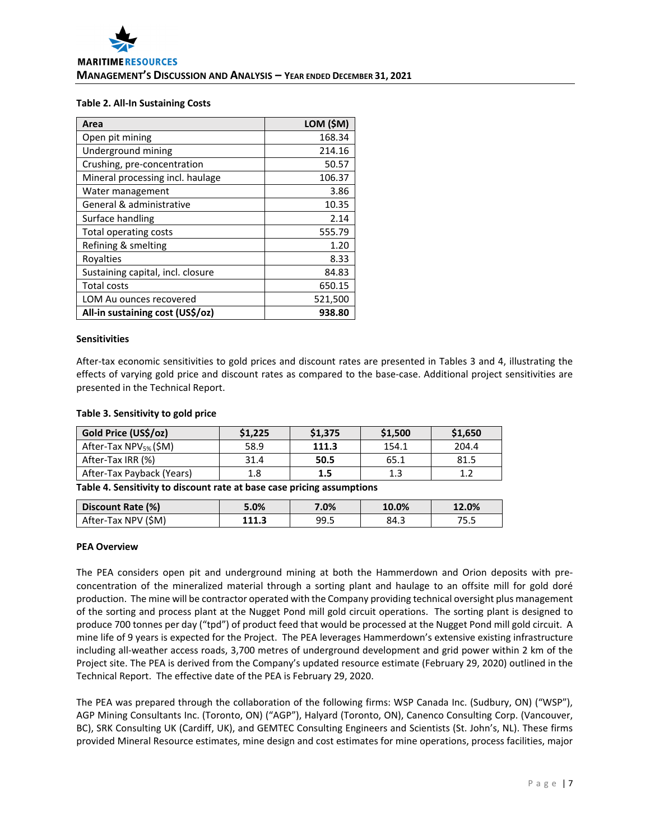# **Table 2. All‐In Sustaining Costs**

| Area                              | LOM (\$M) |
|-----------------------------------|-----------|
| Open pit mining                   | 168.34    |
| Underground mining                | 214.16    |
| Crushing, pre-concentration       | 50.57     |
| Mineral processing incl. haulage  | 106.37    |
| Water management                  | 3.86      |
| General & administrative          | 10.35     |
| Surface handling                  | 2.14      |
| Total operating costs             | 555.79    |
| Refining & smelting               | 1.20      |
| Royalties                         | 8.33      |
| Sustaining capital, incl. closure | 84.83     |
| <b>Total costs</b>                | 650.15    |
| LOM Au ounces recovered           | 521,500   |
| All-in sustaining cost (US\$/oz)  | 938.80    |

#### **Sensitivities**

After-tax economic sensitivities to gold prices and discount rates are presented in Tables 3 and 4, illustrating the effects of varying gold price and discount rates as compared to the base‐case. Additional project sensitivities are presented in the Technical Report.

#### **Table 3. Sensitivity to gold price**

| Gold Price (US\$/oz)              | \$1,225 | \$1,375 | \$1,500 | \$1,650 |
|-----------------------------------|---------|---------|---------|---------|
| After-Tax NPV <sub>5%</sub> (\$M) | 58.9    | 111.3   | 154.1   | 204.4   |
| After-Tax IRR (%)                 | 31.4    | 50.5    | 65.1    | 81.5    |
| After-Tax Payback (Years)         | 1.8     | 1.5     | 1.3     |         |

**Table 4. Sensitivity to discount rate at base case pricing assumptions**

| Discount Rate (%)   | 5.0%  | 7.0% | 10.0% | 12.0% |
|---------------------|-------|------|-------|-------|
| After-Tax NPV (\$M) | 111.3 | 99.5 | 84.3  | 75.5  |

#### **PEA Overview**

The PEA considers open pit and underground mining at both the Hammerdown and Orion deposits with pre‐ concentration of the mineralized material through a sorting plant and haulage to an offsite mill for gold doré production. The mine will be contractor operated with the Company providing technical oversight plus management of the sorting and process plant at the Nugget Pond mill gold circuit operations. The sorting plant is designed to produce 700 tonnes per day ("tpd") of product feed that would be processed at the Nugget Pond mill gold circuit. A mine life of 9 years is expected for the Project. The PEA leverages Hammerdown's extensive existing infrastructure including all‐weather access roads, 3,700 metres of underground development and grid power within 2 km of the Project site. The PEA is derived from the Company's updated resource estimate (February 29, 2020) outlined in the Technical Report. The effective date of the PEA is February 29, 2020.

The PEA was prepared through the collaboration of the following firms: WSP Canada Inc. (Sudbury, ON) ("WSP"), AGP Mining Consultants Inc. (Toronto, ON) ("AGP"), Halyard (Toronto, ON), Canenco Consulting Corp. (Vancouver, BC), SRK Consulting UK (Cardiff, UK), and GEMTEC Consulting Engineers and Scientists (St. John's, NL). These firms provided Mineral Resource estimates, mine design and cost estimates for mine operations, process facilities, major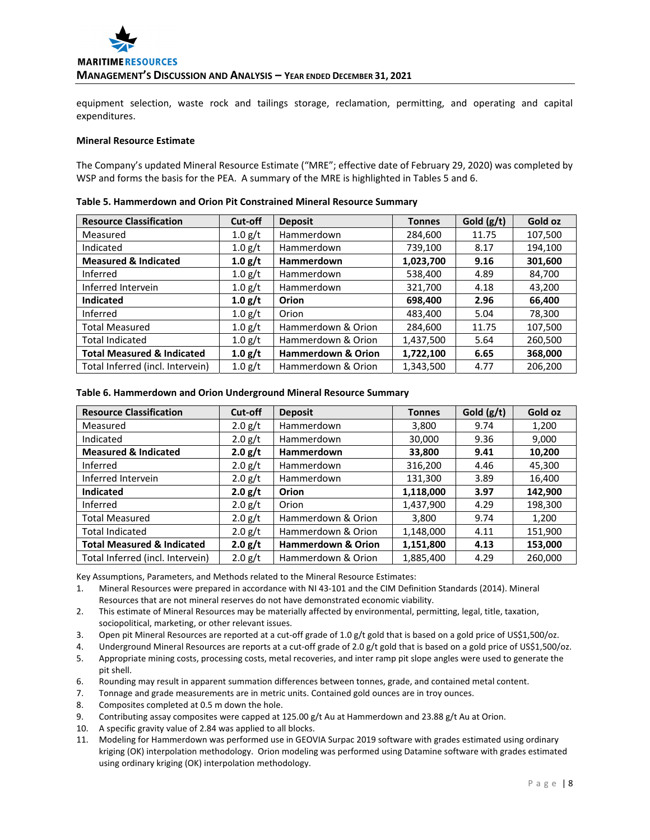

equipment selection, waste rock and tailings storage, reclamation, permitting, and operating and capital expenditures.

# **Mineral Resource Estimate**

The Company's updated Mineral Resource Estimate ("MRE"; effective date of February 29, 2020) was completed by WSP and forms the basis for the PEA. A summary of the MRE is highlighted in Tables 5 and 6.

| <b>Resource Classification</b>        | Cut-off   | <b>Deposit</b>                | <b>Tonnes</b> | Gold $(g/t)$ | Gold oz |
|---------------------------------------|-----------|-------------------------------|---------------|--------------|---------|
| Measured                              | 1.0 g/t   | Hammerdown                    | 284,600       | 11.75        | 107,500 |
| Indicated                             | 1.0 g/t   | Hammerdown                    | 739,100       | 8.17         | 194,100 |
| <b>Measured &amp; Indicated</b>       | 1.0 g/t   | <b>Hammerdown</b>             | 1,023,700     | 9.16         | 301,600 |
| Inferred                              | $1.0$ g/t | Hammerdown                    | 538,400       | 4.89         | 84,700  |
| Inferred Intervein                    | 1.0 g/t   | Hammerdown                    | 321,700       | 4.18         | 43,200  |
| <b>Indicated</b>                      | 1.0 g/t   | Orion                         | 698,400       | 2.96         | 66,400  |
| Inferred                              | 1.0 g/t   | Orion                         | 483,400       | 5.04         | 78,300  |
| <b>Total Measured</b>                 | 1.0 g/t   | Hammerdown & Orion            | 284,600       | 11.75        | 107,500 |
| <b>Total Indicated</b>                | 1.0 g/t   | Hammerdown & Orion            | 1,437,500     | 5.64         | 260,500 |
| <b>Total Measured &amp; Indicated</b> | 1.0 g/t   | <b>Hammerdown &amp; Orion</b> | 1,722,100     | 6.65         | 368,000 |
| Total Inferred (incl. Intervein)      | $1.0$ g/t | Hammerdown & Orion            | 1,343,500     | 4.77         | 206,200 |

#### **Table 5. Hammerdown and Orion Pit Constrained Mineral Resource Summary**

#### **Table 6. Hammerdown and Orion Underground Mineral Resource Summary**

| <b>Resource Classification</b>        | Cut-off   | <b>Deposit</b>                | <b>Tonnes</b> | Gold $(g/t)$ | Gold oz |
|---------------------------------------|-----------|-------------------------------|---------------|--------------|---------|
| Measured                              | $2.0$ g/t | <b>Hammerdown</b>             | 3,800         | 9.74         | 1,200   |
| Indicated                             | 2.0 g/t   | Hammerdown                    | 30,000        | 9.36         | 9,000   |
| <b>Measured &amp; Indicated</b>       | 2.0 g/t   | <b>Hammerdown</b>             | 33,800        | 9.41         | 10,200  |
| Inferred                              | 2.0 g/t   | Hammerdown                    | 316,200       | 4.46         | 45,300  |
| Inferred Intervein                    | 2.0 g/t   | <b>Hammerdown</b>             | 131,300       | 3.89         | 16,400  |
| <b>Indicated</b>                      | 2.0 g/t   | Orion                         | 1,118,000     | 3.97         | 142,900 |
| Inferred                              | 2.0 g/t   | Orion                         | 1,437,900     | 4.29         | 198,300 |
| <b>Total Measured</b>                 | 2.0 g/t   | Hammerdown & Orion            | 3,800         | 9.74         | 1,200   |
| <b>Total Indicated</b>                | $2.0$ g/t | Hammerdown & Orion            | 1,148,000     | 4.11         | 151,900 |
| <b>Total Measured &amp; Indicated</b> | 2.0 g/t   | <b>Hammerdown &amp; Orion</b> | 1,151,800     | 4.13         | 153,000 |
| Total Inferred (incl. Intervein)      | $2.0$ g/t | Hammerdown & Orion            | 1,885,400     | 4.29         | 260,000 |

Key Assumptions, Parameters, and Methods related to the Mineral Resource Estimates:

- 1. Mineral Resources were prepared in accordance with NI 43‐101 and the CIM Definition Standards (2014). Mineral Resources that are not mineral reserves do not have demonstrated economic viability.
- 2. This estimate of Mineral Resources may be materially affected by environmental, permitting, legal, title, taxation, sociopolitical, marketing, or other relevant issues.
- 3. Open pit Mineral Resources are reported at a cut-off grade of 1.0 g/t gold that is based on a gold price of US\$1,500/oz.
- 4. Underground Mineral Resources are reports at a cut-off grade of 2.0 g/t gold that is based on a gold price of US\$1,500/oz.
- 5. Appropriate mining costs, processing costs, metal recoveries, and inter ramp pit slope angles were used to generate the pit shell.
- 6. Rounding may result in apparent summation differences between tonnes, grade, and contained metal content.
- 7. Tonnage and grade measurements are in metric units. Contained gold ounces are in troy ounces.
- 8. Composites completed at 0.5 m down the hole.
- 9. Contributing assay composites were capped at 125.00 g/t Au at Hammerdown and 23.88 g/t Au at Orion.
- 10. A specific gravity value of 2.84 was applied to all blocks.
- 11. Modeling for Hammerdown was performed use in GEOVIA Surpac 2019 software with grades estimated using ordinary kriging (OK) interpolation methodology. Orion modeling was performed using Datamine software with grades estimated using ordinary kriging (OK) interpolation methodology.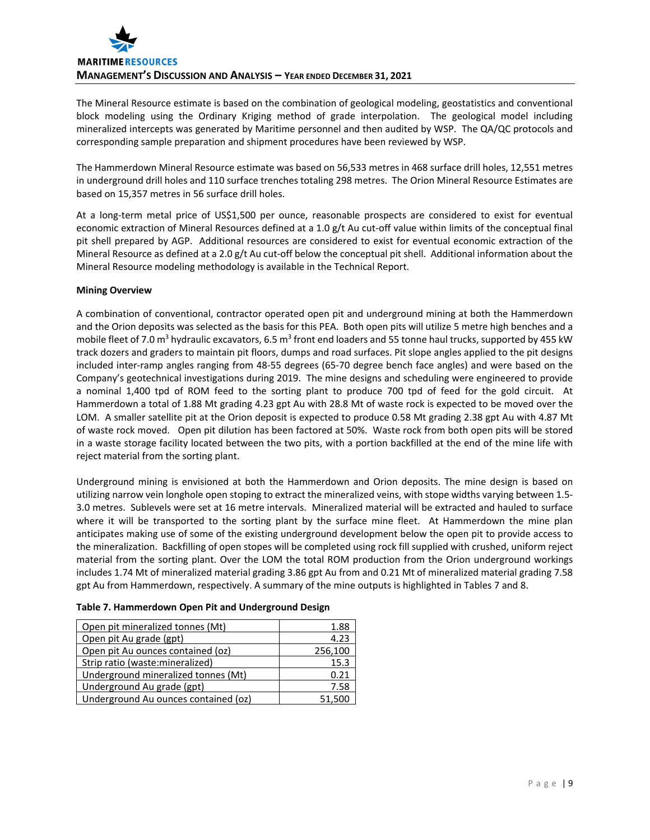

The Mineral Resource estimate is based on the combination of geological modeling, geostatistics and conventional block modeling using the Ordinary Kriging method of grade interpolation. The geological model including mineralized intercepts was generated by Maritime personnel and then audited by WSP. The QA/QC protocols and corresponding sample preparation and shipment procedures have been reviewed by WSP.

The Hammerdown Mineral Resource estimate was based on 56,533 metres in 468 surface drill holes, 12,551 metres in underground drill holes and 110 surface trenches totaling 298 metres. The Orion Mineral Resource Estimates are based on 15,357 metres in 56 surface drill holes.

At a long‐term metal price of US\$1,500 per ounce, reasonable prospects are considered to exist for eventual economic extraction of Mineral Resources defined at a 1.0 g/t Au cut-off value within limits of the conceptual final pit shell prepared by AGP. Additional resources are considered to exist for eventual economic extraction of the Mineral Resource as defined at a 2.0 g/t Au cut-off below the conceptual pit shell. Additional information about the Mineral Resource modeling methodology is available in the Technical Report.

# **Mining Overview**

A combination of conventional, contractor operated open pit and underground mining at both the Hammerdown and the Orion deposits was selected as the basis for this PEA. Both open pits will utilize 5 metre high benches and a mobile fleet of 7.0 m<sup>3</sup> hydraulic excavators, 6.5 m<sup>3</sup> front end loaders and 55 tonne haul trucks, supported by 455 kW track dozers and graders to maintain pit floors, dumps and road surfaces. Pit slope angles applied to the pit designs included inter‐ramp angles ranging from 48‐55 degrees (65‐70 degree bench face angles) and were based on the Company's geotechnical investigations during 2019. The mine designs and scheduling were engineered to provide a nominal 1,400 tpd of ROM feed to the sorting plant to produce 700 tpd of feed for the gold circuit. At Hammerdown a total of 1.88 Mt grading 4.23 gpt Au with 28.8 Mt of waste rock is expected to be moved over the LOM. A smaller satellite pit at the Orion deposit is expected to produce 0.58 Mt grading 2.38 gpt Au with 4.87 Mt of waste rock moved. Open pit dilution has been factored at 50%. Waste rock from both open pits will be stored in a waste storage facility located between the two pits, with a portion backfilled at the end of the mine life with reject material from the sorting plant.

Underground mining is envisioned at both the Hammerdown and Orion deposits. The mine design is based on utilizing narrow vein longhole open stoping to extract the mineralized veins, with stope widths varying between 1.5‐ 3.0 metres. Sublevels were set at 16 metre intervals. Mineralized material will be extracted and hauled to surface where it will be transported to the sorting plant by the surface mine fleet. At Hammerdown the mine plan anticipates making use of some of the existing underground development below the open pit to provide access to the mineralization. Backfilling of open stopes will be completed using rock fill supplied with crushed, uniform reject material from the sorting plant. Over the LOM the total ROM production from the Orion underground workings includes 1.74 Mt of mineralized material grading 3.86 gpt Au from and 0.21 Mt of mineralized material grading 7.58 gpt Au from Hammerdown, respectively. A summary of the mine outputs is highlighted in Tables 7 and 8.

| Table 7. Hammerdown Open Pit and Underground Design |  |  |  |
|-----------------------------------------------------|--|--|--|
|-----------------------------------------------------|--|--|--|

| Open pit mineralized tonnes (Mt)     | 1.88    |
|--------------------------------------|---------|
| Open pit Au grade (gpt)              | 4.23    |
| Open pit Au ounces contained (oz)    | 256,100 |
| Strip ratio (waste: mineralized)     | 15.3    |
| Underground mineralized tonnes (Mt)  | 0.21    |
| Underground Au grade (gpt)           | 7.58    |
| Underground Au ounces contained (oz) | 51.500  |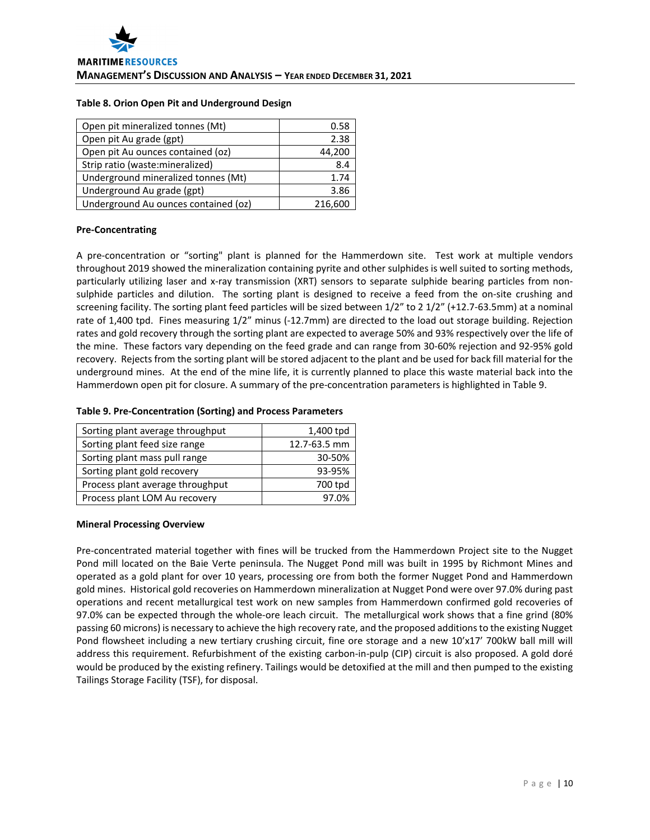# **Table 8. Orion Open Pit and Underground Design**

| Open pit mineralized tonnes (Mt)     | 0.58    |
|--------------------------------------|---------|
| Open pit Au grade (gpt)              | 2.38    |
| Open pit Au ounces contained (oz)    | 44,200  |
| Strip ratio (waste: mineralized)     | 8.4     |
| Underground mineralized tonnes (Mt)  | 1.74    |
| Underground Au grade (gpt)           | 3.86    |
| Underground Au ounces contained (oz) | 216,600 |

# **Pre‐Concentrating**

A pre-concentration or "sorting" plant is planned for the Hammerdown site. Test work at multiple vendors throughout 2019 showed the mineralization containing pyrite and other sulphides is well suited to sorting methods, particularly utilizing laser and x‐ray transmission (XRT) sensors to separate sulphide bearing particles from non‐ sulphide particles and dilution. The sorting plant is designed to receive a feed from the on-site crushing and screening facility. The sorting plant feed particles will be sized between  $1/2$ " to 2  $1/2$ " (+12.7-63.5mm) at a nominal rate of 1,400 tpd. Fines measuring 1/2" minus (-12.7mm) are directed to the load out storage building. Rejection rates and gold recovery through the sorting plant are expected to average 50% and 93% respectively over the life of the mine. These factors vary depending on the feed grade and can range from 30‐60% rejection and 92‐95% gold recovery. Rejects from the sorting plant will be stored adjacent to the plant and be used for back fill material for the underground mines. At the end of the mine life, it is currently planned to place this waste material back into the Hammerdown open pit for closure. A summary of the pre‐concentration parameters is highlighted in Table 9.

#### **Table 9. Pre‐Concentration (Sorting) and Process Parameters**

| Sorting plant average throughput | 1,400 tpd    |
|----------------------------------|--------------|
| Sorting plant feed size range    | 12.7-63.5 mm |
| Sorting plant mass pull range    | 30-50%       |
| Sorting plant gold recovery      | 93-95%       |
| Process plant average throughput | 700 tpd      |
| Process plant LOM Au recovery    | 97 በ%        |

# **Mineral Processing Overview**

Pre‐concentrated material together with fines will be trucked from the Hammerdown Project site to the Nugget Pond mill located on the Baie Verte peninsula. The Nugget Pond mill was built in 1995 by Richmont Mines and operated as a gold plant for over 10 years, processing ore from both the former Nugget Pond and Hammerdown gold mines. Historical gold recoveries on Hammerdown mineralization at Nugget Pond were over 97.0% during past operations and recent metallurgical test work on new samples from Hammerdown confirmed gold recoveries of 97.0% can be expected through the whole-ore leach circuit. The metallurgical work shows that a fine grind (80% passing 60 microns) is necessary to achieve the high recovery rate, and the proposed additions to the existing Nugget Pond flowsheet including a new tertiary crushing circuit, fine ore storage and a new 10'x17' 700kW ball mill will address this requirement. Refurbishment of the existing carbon-in-pulp (CIP) circuit is also proposed. A gold doré would be produced by the existing refinery. Tailings would be detoxified at the mill and then pumped to the existing Tailings Storage Facility (TSF), for disposal.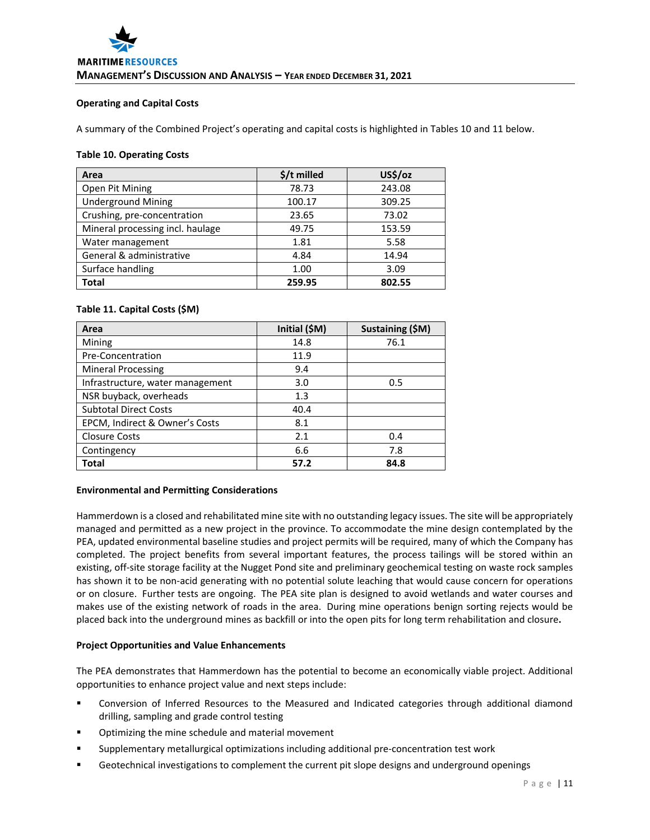# **Operating and Capital Costs**

A summary of the Combined Project's operating and capital costs is highlighted in Tables 10 and 11 below.

# **Table 10. Operating Costs**

| Area                             | $$/t$ milled | US\$/oz |
|----------------------------------|--------------|---------|
| Open Pit Mining                  | 78.73        | 243.08  |
| <b>Underground Mining</b>        | 100.17       | 309.25  |
| Crushing, pre-concentration      | 23.65        | 73.02   |
| Mineral processing incl. haulage | 49.75        | 153.59  |
| Water management                 | 1.81         | 5.58    |
| General & administrative         | 4.84         | 14.94   |
| Surface handling                 | 1.00         | 3.09    |
| <b>Total</b>                     | 259.95       | 802.55  |

# **Table 11. Capital Costs (\$M)**

| Area                             | Initial (\$M) | Sustaining (\$M) |
|----------------------------------|---------------|------------------|
| Mining                           | 14.8          | 76.1             |
| Pre-Concentration                | 11.9          |                  |
| <b>Mineral Processing</b>        | 9.4           |                  |
| Infrastructure, water management | 3.0           | 0.5              |
| NSR buyback, overheads           | 1.3           |                  |
| <b>Subtotal Direct Costs</b>     | 40.4          |                  |
| EPCM, Indirect & Owner's Costs   | 8.1           |                  |
| <b>Closure Costs</b>             | 2.1           | 0.4              |
| Contingency                      | 6.6           | 7.8              |
| Total                            | 57.2          | 84.8             |

# **Environmental and Permitting Considerations**

Hammerdown is a closed and rehabilitated mine site with no outstanding legacy issues. The site will be appropriately managed and permitted as a new project in the province. To accommodate the mine design contemplated by the PEA, updated environmental baseline studies and project permits will be required, many of which the Company has completed. The project benefits from several important features, the process tailings will be stored within an existing, off‐site storage facility at the Nugget Pond site and preliminary geochemical testing on waste rock samples has shown it to be non-acid generating with no potential solute leaching that would cause concern for operations or on closure. Further tests are ongoing. The PEA site plan is designed to avoid wetlands and water courses and makes use of the existing network of roads in the area. During mine operations benign sorting rejects would be placed back into the underground mines as backfill or into the open pits for long term rehabilitation and closure**.** 

# **Project Opportunities and Value Enhancements**

The PEA demonstrates that Hammerdown has the potential to become an economically viable project. Additional opportunities to enhance project value and next steps include:

- Conversion of Inferred Resources to the Measured and Indicated categories through additional diamond drilling, sampling and grade control testing
- Optimizing the mine schedule and material movement
- Supplementary metallurgical optimizations including additional pre‐concentration test work
- Geotechnical investigations to complement the current pit slope designs and underground openings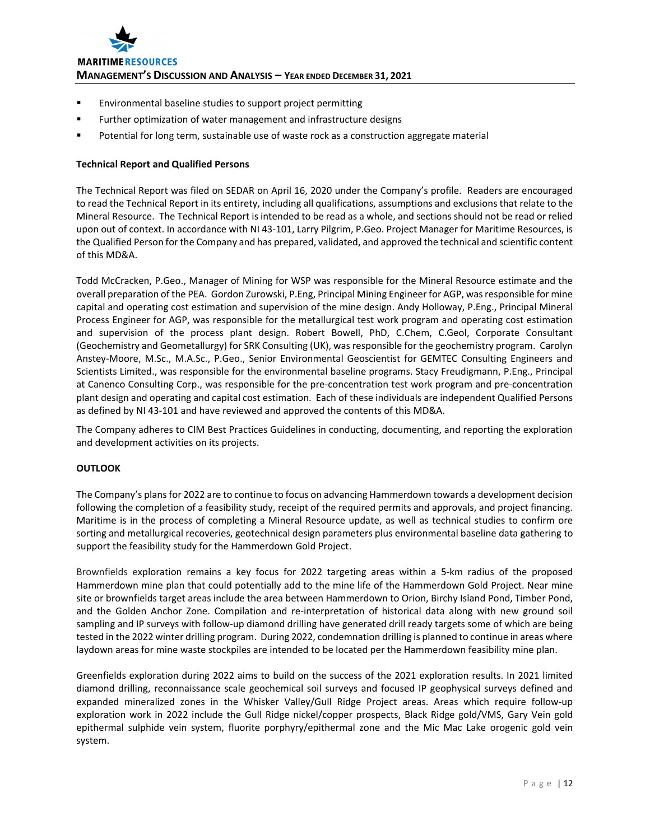

- **Environmental baseline studies to support project permitting**
- **Further optimization of water management and infrastructure designs**
- Potential for long term, sustainable use of waste rock as a construction aggregate material

# **Technical Report and Qualified Persons**

The Technical Report was filed on SEDAR on April 16, 2020 under the Company's profile. Readers are encouraged to read the Technical Report in its entirety, including all qualifications, assumptions and exclusions that relate to the Mineral Resource. The Technical Report is intended to be read as a whole, and sections should not be read or relied upon out of context. In accordance with NI 43-101, Larry Pilgrim, P.Geo. Project Manager for Maritime Resources, is the Qualified Person for the Company and has prepared, validated, and approved the technical and scientific content of this MD&A.

Todd McCracken, P.Geo., Manager of Mining for WSP was responsible for the Mineral Resource estimate and the overall preparation of the PEA. Gordon Zurowski, P.Eng, Principal Mining Engineer for AGP, wasresponsible for mine capital and operating cost estimation and supervision of the mine design. Andy Holloway, P.Eng., Principal Mineral Process Engineer for AGP, was responsible for the metallurgical test work program and operating cost estimation and supervision of the process plant design. Robert Bowell, PhD, C.Chem, C.Geol, Corporate Consultant (Geochemistry and Geometallurgy) for SRK Consulting (UK), was responsible for the geochemistry program. Carolyn Anstey‐Moore, M.Sc., M.A.Sc., P.Geo., Senior Environmental Geoscientist for GEMTEC Consulting Engineers and Scientists Limited., was responsible for the environmental baseline programs. Stacy Freudigmann, P.Eng., Principal at Canenco Consulting Corp., was responsible for the pre‐concentration test work program and pre‐concentration plant design and operating and capital cost estimation. Each of these individuals are independent Qualified Persons as defined by NI 43‐101 and have reviewed and approved the contents of this MD&A.

The Company adheres to CIM Best Practices Guidelines in conducting, documenting, and reporting the exploration and development activities on its projects.

# **OUTLOOK**

The Company's plans for 2022 are to continue to focus on advancing Hammerdown towards a development decision following the completion of a feasibility study, receipt of the required permits and approvals, and project financing. Maritime is in the process of completing a Mineral Resource update, as well as technical studies to confirm ore sorting and metallurgical recoveries, geotechnical design parameters plus environmental baseline data gathering to support the feasibility study for the Hammerdown Gold Project.

Brownfields exploration remains a key focus for 2022 targeting areas within a 5‐km radius of the proposed Hammerdown mine plan that could potentially add to the mine life of the Hammerdown Gold Project. Near mine site or brownfields target areas include the area between Hammerdown to Orion, Birchy Island Pond, Timber Pond, and the Golden Anchor Zone. Compilation and re-interpretation of historical data along with new ground soil sampling and IP surveys with follow-up diamond drilling have generated drill ready targets some of which are being tested in the 2022 winter drilling program. During 2022, condemnation drilling is planned to continue in areas where laydown areas for mine waste stockpiles are intended to be located per the Hammerdown feasibility mine plan.

Greenfields exploration during 2022 aims to build on the success of the 2021 exploration results. In 2021 limited diamond drilling, reconnaissance scale geochemical soil surveys and focused IP geophysical surveys defined and expanded mineralized zones in the Whisker Valley/Gull Ridge Project areas. Areas which require follow‐up exploration work in 2022 include the Gull Ridge nickel/copper prospects, Black Ridge gold/VMS, Gary Vein gold epithermal sulphide vein system, fluorite porphyry/epithermal zone and the Mic Mac Lake orogenic gold vein system.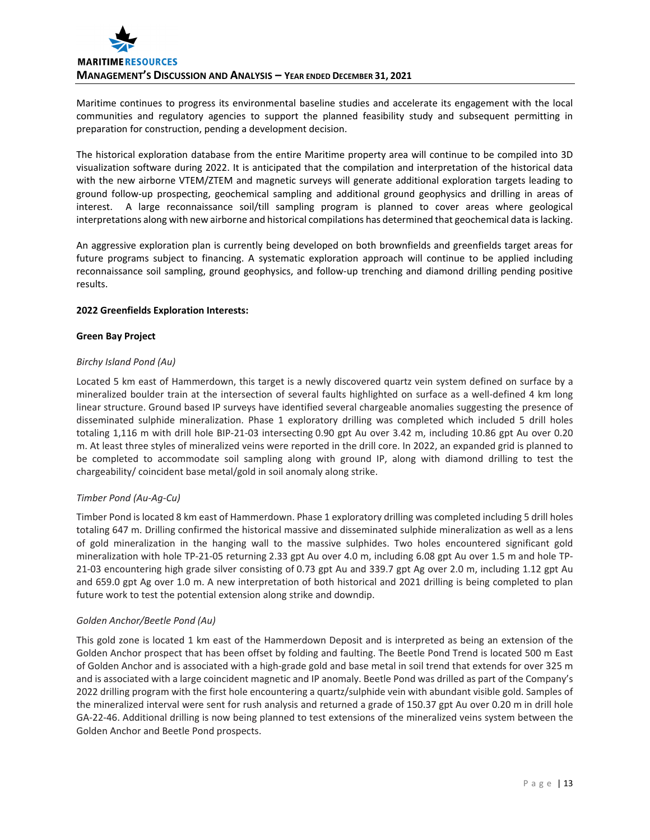

Maritime continues to progress its environmental baseline studies and accelerate its engagement with the local communities and regulatory agencies to support the planned feasibility study and subsequent permitting in preparation for construction, pending a development decision.

The historical exploration database from the entire Maritime property area will continue to be compiled into 3D visualization software during 2022. It is anticipated that the compilation and interpretation of the historical data with the new airborne VTEM/ZTEM and magnetic surveys will generate additional exploration targets leading to ground follow‐up prospecting, geochemical sampling and additional ground geophysics and drilling in areas of interest. A large reconnaissance soil/till sampling program is planned to cover areas where geological interpretations along with new airborne and historical compilations has determined that geochemical data islacking.

An aggressive exploration plan is currently being developed on both brownfields and greenfields target areas for future programs subject to financing. A systematic exploration approach will continue to be applied including reconnaissance soil sampling, ground geophysics, and follow‐up trenching and diamond drilling pending positive results.

# **2022 Greenfields Exploration Interests:**

# **Green Bay Project**

# *Birchy Island Pond (Au)*

Located 5 km east of Hammerdown, this target is a newly discovered quartz vein system defined on surface by a mineralized boulder train at the intersection of several faults highlighted on surface as a well‐defined 4 km long linear structure. Ground based IP surveys have identified several chargeable anomalies suggesting the presence of disseminated sulphide mineralization. Phase 1 exploratory drilling was completed which included 5 drill holes totaling 1,116 m with drill hole BIP‐21‐03 intersecting 0.90 gpt Au over 3.42 m, including 10.86 gpt Au over 0.20 m. At least three styles of mineralized veins were reported in the drill core. In 2022, an expanded grid is planned to be completed to accommodate soil sampling along with ground IP, along with diamond drilling to test the chargeability/ coincident base metal/gold in soil anomaly along strike.

# *Timber Pond (Au‐Ag‐Cu)*

Timber Pond is located 8 km east of Hammerdown. Phase 1 exploratory drilling was completed including 5 drill holes totaling 647 m. Drilling confirmed the historical massive and disseminated sulphide mineralization as well as a lens of gold mineralization in the hanging wall to the massive sulphides. Two holes encountered significant gold mineralization with hole TP-21-05 returning 2.33 gpt Au over 4.0 m, including 6.08 gpt Au over 1.5 m and hole TP-21-03 encountering high grade silver consisting of 0.73 gpt Au and 339.7 gpt Ag over 2.0 m, including 1.12 gpt Au and 659.0 gpt Ag over 1.0 m. A new interpretation of both historical and 2021 drilling is being completed to plan future work to test the potential extension along strike and downdip.

# *Golden Anchor/Beetle Pond (Au)*

This gold zone is located 1 km east of the Hammerdown Deposit and is interpreted as being an extension of the Golden Anchor prospect that has been offset by folding and faulting. The Beetle Pond Trend is located 500 m East of Golden Anchor and is associated with a high‐grade gold and base metal in soil trend that extends for over 325 m and is associated with a large coincident magnetic and IP anomaly. Beetle Pond was drilled as part of the Company's 2022 drilling program with the first hole encountering a quartz/sulphide vein with abundant visible gold. Samples of the mineralized interval were sent for rush analysis and returned a grade of 150.37 gpt Au over 0.20 m in drill hole GA-22-46. Additional drilling is now being planned to test extensions of the mineralized veins system between the Golden Anchor and Beetle Pond prospects.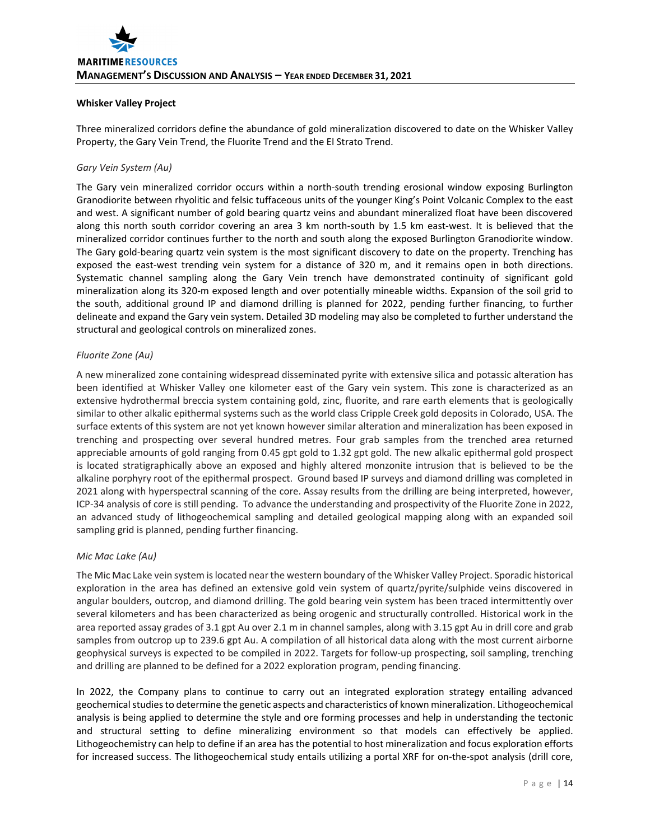# **Whisker Valley Project**

Three mineralized corridors define the abundance of gold mineralization discovered to date on the Whisker Valley Property, the Gary Vein Trend, the Fluorite Trend and the El Strato Trend.

# *Gary Vein System (Au)*

The Gary vein mineralized corridor occurs within a north-south trending erosional window exposing Burlington Granodiorite between rhyolitic and felsic tuffaceous units of the younger King's Point Volcanic Complex to the east and west. A significant number of gold bearing quartz veins and abundant mineralized float have been discovered along this north south corridor covering an area 3 km north-south by 1.5 km east-west. It is believed that the mineralized corridor continues further to the north and south along the exposed Burlington Granodiorite window. The Gary gold‐bearing quartz vein system is the most significant discovery to date on the property. Trenching has exposed the east-west trending vein system for a distance of 320 m, and it remains open in both directions. Systematic channel sampling along the Gary Vein trench have demonstrated continuity of significant gold mineralization along its 320-m exposed length and over potentially mineable widths. Expansion of the soil grid to the south, additional ground IP and diamond drilling is planned for 2022, pending further financing, to further delineate and expand the Gary vein system. Detailed 3D modeling may also be completed to further understand the structural and geological controls on mineralized zones.

# *Fluorite Zone (Au)*

A new mineralized zone containing widespread disseminated pyrite with extensive silica and potassic alteration has been identified at Whisker Valley one kilometer east of the Gary vein system. This zone is characterized as an extensive hydrothermal breccia system containing gold, zinc, fluorite, and rare earth elements that is geologically similar to other alkalic epithermal systems such as the world class Cripple Creek gold deposits in Colorado, USA. The surface extents of this system are not yet known however similar alteration and mineralization has been exposed in trenching and prospecting over several hundred metres. Four grab samples from the trenched area returned appreciable amounts of gold ranging from 0.45 gpt gold to 1.32 gpt gold. The new alkalic epithermal gold prospect is located stratigraphically above an exposed and highly altered monzonite intrusion that is believed to be the alkaline porphyry root of the epithermal prospect. Ground based IP surveys and diamond drilling was completed in 2021 along with hyperspectral scanning of the core. Assay results from the drilling are being interpreted, however, ICP‐34 analysis of core is still pending. To advance the understanding and prospectivity of the Fluorite Zone in 2022, an advanced study of lithogeochemical sampling and detailed geological mapping along with an expanded soil sampling grid is planned, pending further financing.

# *Mic Mac Lake (Au)*

The Mic Mac Lake vein system islocated near the western boundary of the Whisker Valley Project. Sporadic historical exploration in the area has defined an extensive gold vein system of quartz/pyrite/sulphide veins discovered in angular boulders, outcrop, and diamond drilling. The gold bearing vein system has been traced intermittently over several kilometers and has been characterized as being orogenic and structurally controlled. Historical work in the area reported assay grades of 3.1 gpt Au over 2.1 m in channel samples, along with 3.15 gpt Au in drill core and grab samples from outcrop up to 239.6 gpt Au. A compilation of all historical data along with the most current airborne geophysical surveys is expected to be compiled in 2022. Targets for follow-up prospecting, soil sampling, trenching and drilling are planned to be defined for a 2022 exploration program, pending financing.

In 2022, the Company plans to continue to carry out an integrated exploration strategy entailing advanced geochemical studies to determine the genetic aspects and characteristics of known mineralization. Lithogeochemical analysis is being applied to determine the style and ore forming processes and help in understanding the tectonic and structural setting to define mineralizing environment so that models can effectively be applied. Lithogeochemistry can help to define if an area has the potential to host mineralization and focus exploration efforts for increased success. The lithogeochemical study entails utilizing a portal XRF for on-the-spot analysis (drill core,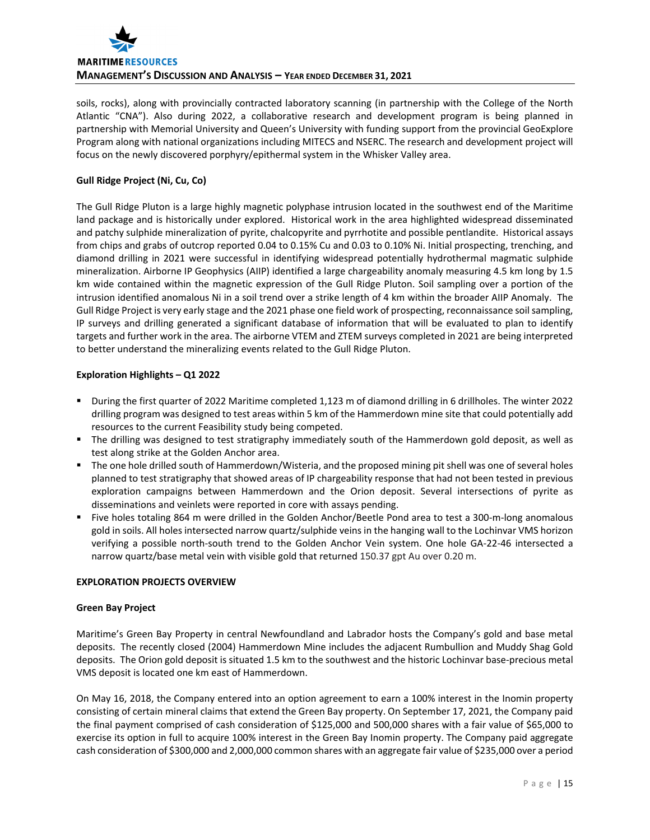

soils, rocks), along with provincially contracted laboratory scanning (in partnership with the College of the North Atlantic "CNA"). Also during 2022, a collaborative research and development program is being planned in partnership with Memorial University and Queen's University with funding support from the provincial GeoExplore Program along with national organizations including MITECS and NSERC. The research and development project will focus on the newly discovered porphyry/epithermal system in the Whisker Valley area.

# **Gull Ridge Project (Ni, Cu, Co)**

The Gull Ridge Pluton is a large highly magnetic polyphase intrusion located in the southwest end of the Maritime land package and is historically under explored. Historical work in the area highlighted widespread disseminated and patchy sulphide mineralization of pyrite, chalcopyrite and pyrrhotite and possible pentlandite. Historical assays from chips and grabs of outcrop reported 0.04 to 0.15% Cu and 0.03 to 0.10% Ni. Initial prospecting, trenching, and diamond drilling in 2021 were successful in identifying widespread potentially hydrothermal magmatic sulphide mineralization. Airborne IP Geophysics (AIIP) identified a large chargeability anomaly measuring 4.5 km long by 1.5 km wide contained within the magnetic expression of the Gull Ridge Pluton. Soil sampling over a portion of the intrusion identified anomalous Ni in a soil trend over a strike length of 4 km within the broader AIIP Anomaly. The Gull Ridge Project is very early stage and the 2021 phase one field work of prospecting, reconnaissance soil sampling, IP surveys and drilling generated a significant database of information that will be evaluated to plan to identify targets and further work in the area. The airborne VTEM and ZTEM surveys completed in 2021 are being interpreted to better understand the mineralizing events related to the Gull Ridge Pluton.

# **Exploration Highlights – Q1 2022**

- During the first quarter of 2022 Maritime completed 1,123 m of diamond drilling in 6 drillholes. The winter 2022 drilling program was designed to test areas within 5 km of the Hammerdown mine site that could potentially add resources to the current Feasibility study being competed.
- The drilling was designed to test stratigraphy immediately south of the Hammerdown gold deposit, as well as test along strike at the Golden Anchor area.
- The one hole drilled south of Hammerdown/Wisteria, and the proposed mining pit shell was one of several holes planned to test stratigraphy that showed areas of IP chargeability response that had not been tested in previous exploration campaigns between Hammerdown and the Orion deposit. Several intersections of pyrite as disseminations and veinlets were reported in core with assays pending.
- Five holes totaling 864 m were drilled in the Golden Anchor/Beetle Pond area to test a 300-m-long anomalous gold in soils. All holes intersected narrow quartz/sulphide veins in the hanging wall to the Lochinvar VMS horizon verifying a possible north‐south trend to the Golden Anchor Vein system. One hole GA‐22‐46 intersected a narrow quartz/base metal vein with visible gold that returned 150.37 gpt Au over 0.20 m.

# **EXPLORATION PROJECTS OVERVIEW**

# **Green Bay Project**

Maritime's Green Bay Property in central Newfoundland and Labrador hosts the Company's gold and base metal deposits. The recently closed (2004) Hammerdown Mine includes the adjacent Rumbullion and Muddy Shag Gold deposits. The Orion gold deposit is situated 1.5 km to the southwest and the historic Lochinvar base-precious metal VMS deposit is located one km east of Hammerdown.

On May 16, 2018, the Company entered into an option agreement to earn a 100% interest in the Inomin property consisting of certain mineral claims that extend the Green Bay property. On September 17, 2021, the Company paid the final payment comprised of cash consideration of \$125,000 and 500,000 shares with a fair value of \$65,000 to exercise its option in full to acquire 100% interest in the Green Bay Inomin property. The Company paid aggregate cash consideration of \$300,000 and 2,000,000 common shares with an aggregate fair value of \$235,000 over a period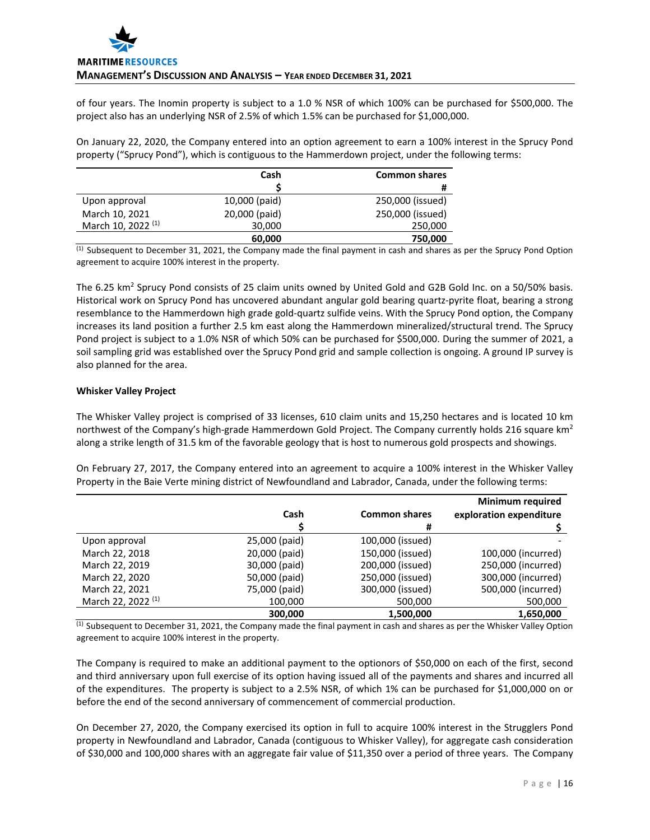of four years. The Inomin property is subject to a 1.0 % NSR of which 100% can be purchased for \$500,000. The project also has an underlying NSR of 2.5% of which 1.5% can be purchased for \$1,000,000.

On January 22, 2020, the Company entered into an option agreement to earn a 100% interest in the Sprucy Pond property ("Sprucy Pond"), which is contiguous to the Hammerdown project, under the following terms:

|                               | Cash          | <b>Common shares</b> |
|-------------------------------|---------------|----------------------|
|                               |               | #                    |
| Upon approval                 | 10,000 (paid) | 250,000 (issued)     |
| March 10, 2021                | 20,000 (paid) | 250,000 (issued)     |
| March 10, 2022 <sup>(1)</sup> | 30,000        | 250,000              |
|                               | 60,000        | 750,000              |

 $<sup>(1)</sup>$  Subsequent to December 31, 2021, the Company made the final payment in cash and shares as per the Sprucy Pond Option</sup> agreement to acquire 100% interest in the property.

The 6.25 km<sup>2</sup> Sprucy Pond consists of 25 claim units owned by United Gold and G2B Gold Inc. on a 50/50% basis. Historical work on Sprucy Pond has uncovered abundant angular gold bearing quartz‐pyrite float, bearing a strong resemblance to the Hammerdown high grade gold‐quartz sulfide veins. With the Sprucy Pond option, the Company increases its land position a further 2.5 km east along the Hammerdown mineralized/structural trend. The Sprucy Pond project is subject to a 1.0% NSR of which 50% can be purchased for \$500,000. During the summer of 2021, a soil sampling grid was established over the Sprucy Pond grid and sample collection is ongoing. A ground IP survey is also planned for the area.

# **Whisker Valley Project**

The Whisker Valley project is comprised of 33 licenses, 610 claim units and 15,250 hectares and is located 10 km northwest of the Company's high-grade Hammerdown Gold Project. The Company currently holds 216 square km<sup>2</sup> along a strike length of 31.5 km of the favorable geology that is host to numerous gold prospects and showings.

On February 27, 2017, the Company entered into an agreement to acquire a 100% interest in the Whisker Valley Property in the Baie Verte mining district of Newfoundland and Labrador, Canada, under the following terms:

|                               |               |                      | <b>Minimum required</b> |
|-------------------------------|---------------|----------------------|-------------------------|
|                               | Cash          | <b>Common shares</b> | exploration expenditure |
|                               |               | #                    |                         |
| Upon approval                 | 25,000 (paid) | 100,000 (issued)     |                         |
| March 22, 2018                | 20,000 (paid) | 150,000 (issued)     | 100,000 (incurred)      |
| March 22, 2019                | 30,000 (paid) | 200,000 (issued)     | 250,000 (incurred)      |
| March 22, 2020                | 50,000 (paid) | 250,000 (issued)     | 300,000 (incurred)      |
| March 22, 2021                | 75,000 (paid) | 300,000 (issued)     | 500,000 (incurred)      |
| March 22, 2022 <sup>(1)</sup> | 100,000       | 500,000              | 500,000                 |
|                               | 300,000       | 1,500,000            | 1,650,000               |

 $<sup>(1)</sup>$  Subsequent to December 31, 2021, the Company made the final payment in cash and shares as per the Whisker Valley Option</sup> agreement to acquire 100% interest in the property.

The Company is required to make an additional payment to the optionors of \$50,000 on each of the first, second and third anniversary upon full exercise of its option having issued all of the payments and shares and incurred all of the expenditures. The property is subject to a 2.5% NSR, of which 1% can be purchased for \$1,000,000 on or before the end of the second anniversary of commencement of commercial production.

On December 27, 2020, the Company exercised its option in full to acquire 100% interest in the Strugglers Pond property in Newfoundland and Labrador, Canada (contiguous to Whisker Valley), for aggregate cash consideration of \$30,000 and 100,000 shares with an aggregate fair value of \$11,350 over a period of three years. The Company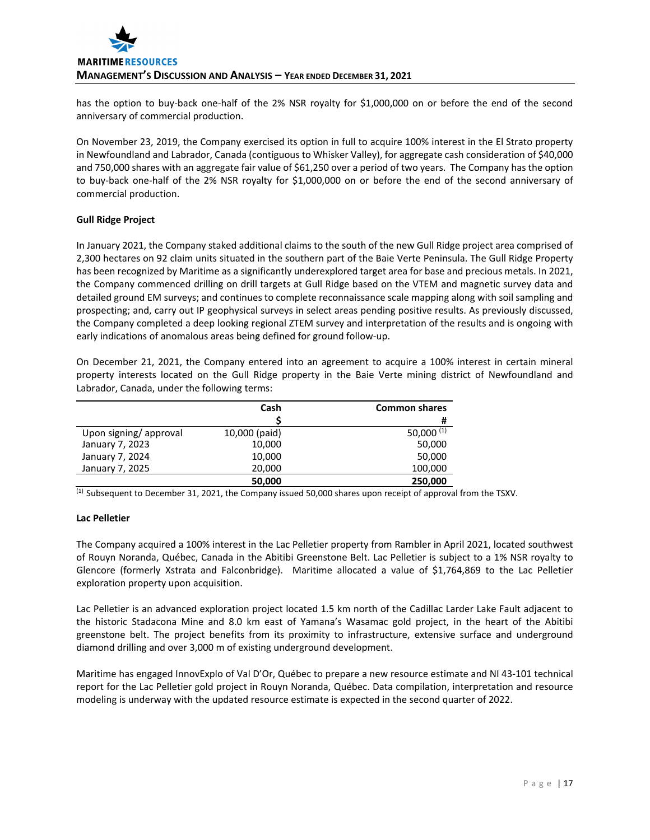has the option to buy-back one-half of the 2% NSR royalty for \$1,000,000 on or before the end of the second anniversary of commercial production.

On November 23, 2019, the Company exercised its option in full to acquire 100% interest in the El Strato property in Newfoundland and Labrador, Canada (contiguous to Whisker Valley), for aggregate cash consideration of \$40,000 and 750,000 shares with an aggregate fair value of \$61,250 over a period of two years. The Company has the option to buy‐back one‐half of the 2% NSR royalty for \$1,000,000 on or before the end of the second anniversary of commercial production.

# **Gull Ridge Project**

In January 2021, the Company staked additional claims to the south of the new Gull Ridge project area comprised of 2,300 hectares on 92 claim units situated in the southern part of the Baie Verte Peninsula. The Gull Ridge Property has been recognized by Maritime as a significantly underexplored target area for base and precious metals. In 2021, the Company commenced drilling on drill targets at Gull Ridge based on the VTEM and magnetic survey data and detailed ground EM surveys; and continues to complete reconnaissance scale mapping along with soil sampling and prospecting; and, carry out IP geophysical surveys in select areas pending positive results. As previously discussed, the Company completed a deep looking regional ZTEM survey and interpretation of the results and is ongoing with early indications of anomalous areas being defined for ground follow‐up.

On December 21, 2021, the Company entered into an agreement to acquire a 100% interest in certain mineral property interests located on the Gull Ridge property in the Baie Verte mining district of Newfoundland and Labrador, Canada, under the following terms:

|                       | Cash          | <b>Common shares</b> |
|-----------------------|---------------|----------------------|
|                       |               | #                    |
| Upon signing/approval | 10,000 (paid) | 50,000 $(1)$         |
| January 7, 2023       | 10,000        | 50,000               |
| January 7, 2024       | 10,000        | 50,000               |
| January 7, 2025       | 20,000        | 100,000              |
|                       | 50,000        | 250,000              |

 $<sup>(1)</sup>$  Subsequent to December 31, 2021, the Company issued 50,000 shares upon receipt of approval from the TSXV.</sup>

# **Lac Pelletier**

The Company acquired a 100% interest in the Lac Pelletier property from Rambler in April 2021, located southwest of Rouyn Noranda, Québec, Canada in the Abitibi Greenstone Belt. Lac Pelletier is subject to a 1% NSR royalty to Glencore (formerly Xstrata and Falconbridge). Maritime allocated a value of \$1,764,869 to the Lac Pelletier exploration property upon acquisition.

Lac Pelletier is an advanced exploration project located 1.5 km north of the Cadillac Larder Lake Fault adjacent to the historic Stadacona Mine and 8.0 km east of Yamana's Wasamac gold project, in the heart of the Abitibi greenstone belt. The project benefits from its proximity to infrastructure, extensive surface and underground diamond drilling and over 3,000 m of existing underground development.

Maritime has engaged InnovExplo of Val D'Or, Québec to prepare a new resource estimate and NI 43‐101 technical report for the Lac Pelletier gold project in Rouyn Noranda, Québec. Data compilation, interpretation and resource modeling is underway with the updated resource estimate is expected in the second quarter of 2022.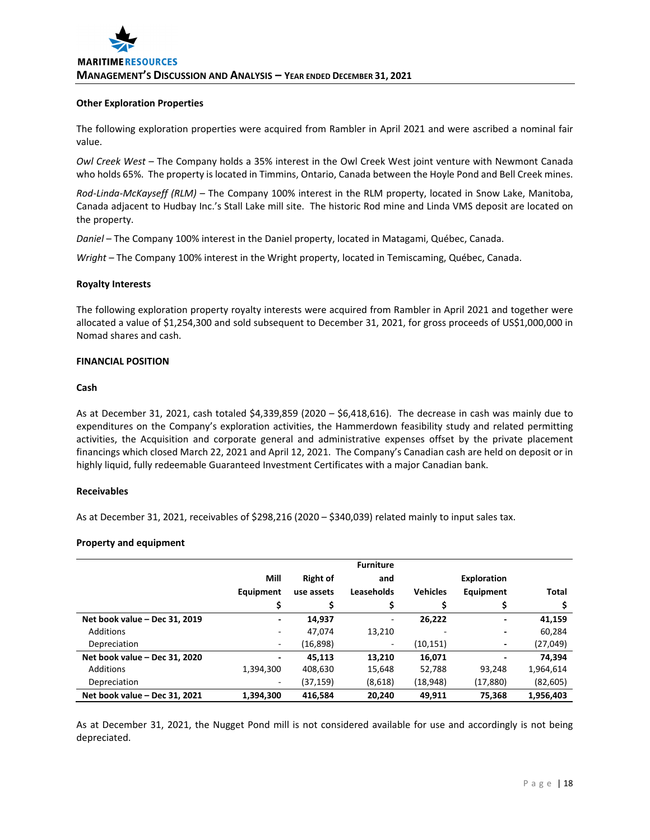#### **Other Exploration Properties**

The following exploration properties were acquired from Rambler in April 2021 and were ascribed a nominal fair value.

*Owl Creek West* – The Company holds a 35% interest in the Owl Creek West joint venture with Newmont Canada who holds 65%. The property is located in Timmins, Ontario, Canada between the Hoyle Pond and Bell Creek mines.

*Rod‐Linda‐McKayseff (RLM)* – The Company 100% interest in the RLM property, located in Snow Lake, Manitoba, Canada adjacent to Hudbay Inc.'s Stall Lake mill site. The historic Rod mine and Linda VMS deposit are located on the property.

*Daniel* – The Company 100% interest in the Daniel property, located in Matagami, Québec, Canada.

*Wright* – The Company 100% interest in the Wright property, located in Temiscaming, Québec, Canada.

#### **Royalty Interests**

The following exploration property royalty interests were acquired from Rambler in April 2021 and together were allocated a value of \$1,254,300 and sold subsequent to December 31, 2021, for gross proceeds of US\$1,000,000 in Nomad shares and cash.

# **FINANCIAL POSITION**

#### **Cash**

As at December 31, 2021, cash totaled \$4,339,859 (2020 – \$6,418,616). The decrease in cash was mainly due to expenditures on the Company's exploration activities, the Hammerdown feasibility study and related permitting activities, the Acquisition and corporate general and administrative expenses offset by the private placement financings which closed March 22, 2021 and April 12, 2021. The Company's Canadian cash are held on deposit or in highly liquid, fully redeemable Guaranteed Investment Certificates with a major Canadian bank.

#### **Receivables**

As at December 31, 2021, receivables of \$298,216 (2020 – \$340,039) related mainly to input sales tax.

#### **Property and equipment**

|                               |           |                 | <b>Furniture</b> |                 |                          |           |
|-------------------------------|-----------|-----------------|------------------|-----------------|--------------------------|-----------|
|                               | Mill      | <b>Right of</b> | and              |                 | <b>Exploration</b>       |           |
|                               | Equipment | use assets      | Leaseholds       | <b>Vehicles</b> | Equipment                | Total     |
|                               | \$        |                 |                  |                 |                          |           |
| Net book value - Dec 31, 2019 | ٠         | 14,937          | -                | 26.222          | $\overline{\phantom{a}}$ | 41,159    |
| Additions                     | ٠         | 47,074          | 13,210           |                 | ٠                        | 60,284    |
| Depreciation                  | ٠         | (16, 898)       | ۰                | (10, 151)       | $\overline{\phantom{a}}$ | (27, 049) |
| Net book value - Dec 31, 2020 | ٠         | 45.113          | 13.210           | 16,071          | $\overline{\phantom{0}}$ | 74,394    |
| <b>Additions</b>              | 1,394,300 | 408,630         | 15,648           | 52,788          | 93.248                   | 1,964,614 |
| Depreciation                  | ٠         | (37,159)        | (8,618)          | (18, 948)       | (17, 880)                | (82, 605) |
| Net book value - Dec 31, 2021 | 1,394,300 | 416,584         | 20.240           | 49,911          | 75.368                   | 1,956,403 |

As at December 31, 2021, the Nugget Pond mill is not considered available for use and accordingly is not being depreciated.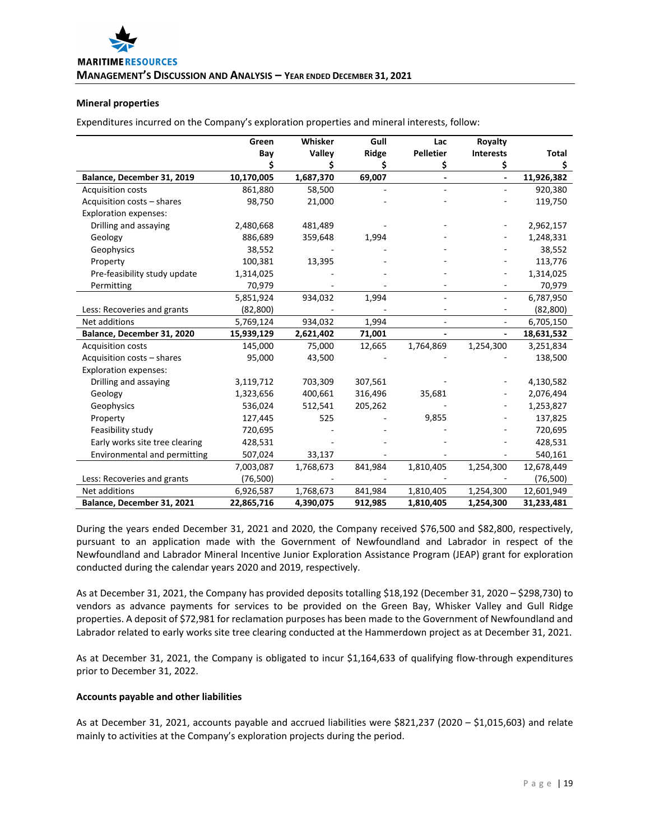# **Mineral properties**

Expenditures incurred on the Company's exploration properties and mineral interests, follow:

|                                | Green      | Whisker   | Gull    | Lac                      | Royalty                  |            |
|--------------------------------|------------|-----------|---------|--------------------------|--------------------------|------------|
|                                | Bay        | Valley    | Ridge   | Pelletier                | <b>Interests</b>         | Total      |
|                                |            | Ş         | \$      | \$                       | \$                       | \$         |
| Balance, December 31, 2019     | 10,170,005 | 1,687,370 | 69,007  | $\overline{\phantom{a}}$ | $\overline{\phantom{a}}$ | 11,926,382 |
| <b>Acquisition costs</b>       | 861,880    | 58,500    |         |                          |                          | 920,380    |
| Acquisition costs - shares     | 98,750     | 21,000    |         |                          |                          | 119,750    |
| <b>Exploration expenses:</b>   |            |           |         |                          |                          |            |
| Drilling and assaying          | 2,480,668  | 481,489   |         |                          |                          | 2,962,157  |
| Geology                        | 886,689    | 359,648   | 1,994   |                          |                          | 1,248,331  |
| Geophysics                     | 38,552     |           |         |                          |                          | 38,552     |
| Property                       | 100,381    | 13,395    |         |                          |                          | 113,776    |
| Pre-feasibility study update   | 1,314,025  |           |         |                          |                          | 1,314,025  |
| Permitting                     | 70,979     |           |         |                          |                          | 70,979     |
|                                | 5,851,924  | 934,032   | 1,994   |                          | $\blacksquare$           | 6,787,950  |
| Less: Recoveries and grants    | (82, 800)  |           |         |                          |                          | (82, 800)  |
| Net additions                  | 5,769,124  | 934,032   | 1,994   | $\overline{\phantom{a}}$ | $\overline{\phantom{a}}$ | 6,705,150  |
| Balance, December 31, 2020     | 15,939,129 | 2,621,402 | 71,001  |                          | $\blacksquare$           | 18,631,532 |
| Acquisition costs              | 145,000    | 75,000    | 12,665  | 1,764,869                | 1,254,300                | 3,251,834  |
| Acquisition costs - shares     | 95,000     | 43,500    |         |                          |                          | 138,500    |
| <b>Exploration expenses:</b>   |            |           |         |                          |                          |            |
| Drilling and assaying          | 3,119,712  | 703,309   | 307,561 |                          |                          | 4,130,582  |
| Geology                        | 1,323,656  | 400,661   | 316,496 | 35,681                   |                          | 2,076,494  |
| Geophysics                     | 536,024    | 512,541   | 205,262 |                          |                          | 1,253,827  |
| Property                       | 127,445    | 525       |         | 9,855                    |                          | 137,825    |
| Feasibility study              | 720,695    |           |         |                          |                          | 720,695    |
| Early works site tree clearing | 428,531    |           |         |                          |                          | 428,531    |
| Environmental and permitting   | 507,024    | 33,137    |         |                          |                          | 540,161    |
|                                | 7,003,087  | 1,768,673 | 841,984 | 1,810,405                | 1,254,300                | 12,678,449 |
| Less: Recoveries and grants    | (76, 500)  |           |         |                          |                          | (76, 500)  |
| Net additions                  | 6,926,587  | 1,768,673 | 841,984 | 1,810,405                | 1,254,300                | 12,601,949 |
| Balance, December 31, 2021     | 22,865,716 | 4,390,075 | 912,985 | 1,810,405                | 1,254,300                | 31,233,481 |

During the years ended December 31, 2021 and 2020, the Company received \$76,500 and \$82,800, respectively, pursuant to an application made with the Government of Newfoundland and Labrador in respect of the Newfoundland and Labrador Mineral Incentive Junior Exploration Assistance Program (JEAP) grant for exploration conducted during the calendar years 2020 and 2019, respectively.

As at December 31, 2021, the Company has provided deposits totalling \$18,192 (December 31, 2020 – \$298,730) to vendors as advance payments for services to be provided on the Green Bay, Whisker Valley and Gull Ridge properties. A deposit of \$72,981 for reclamation purposes has been made to the Government of Newfoundland and Labrador related to early works site tree clearing conducted at the Hammerdown project as at December 31, 2021.

As at December 31, 2021, the Company is obligated to incur \$1,164,633 of qualifying flow‐through expenditures prior to December 31, 2022.

#### **Accounts payable and other liabilities**

As at December 31, 2021, accounts payable and accrued liabilities were \$821,237 (2020 – \$1,015,603) and relate mainly to activities at the Company's exploration projects during the period.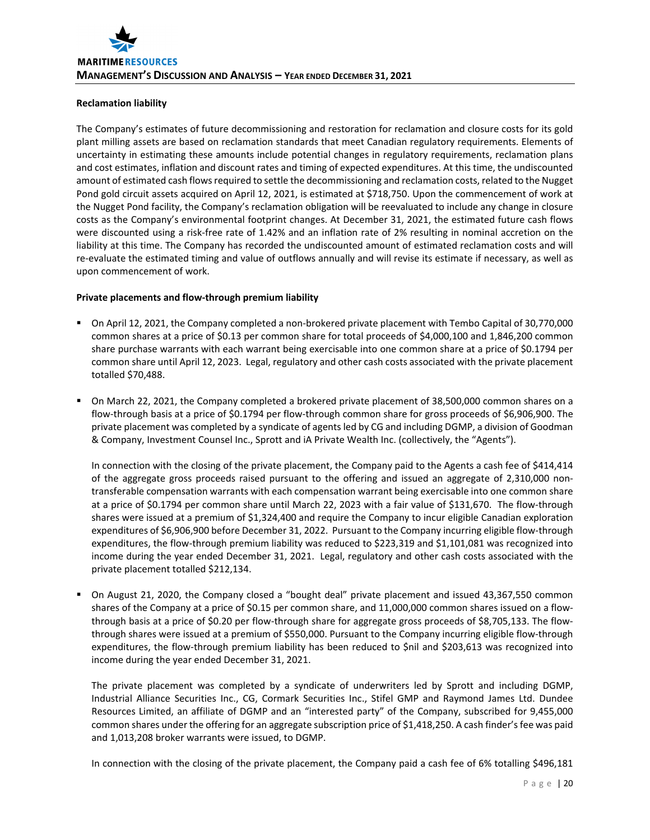# **Reclamation liability**

The Company's estimates of future decommissioning and restoration for reclamation and closure costs for its gold plant milling assets are based on reclamation standards that meet Canadian regulatory requirements. Elements of uncertainty in estimating these amounts include potential changes in regulatory requirements, reclamation plans and cost estimates, inflation and discount rates and timing of expected expenditures. At this time, the undiscounted amount of estimated cash flows required to settle the decommissioning and reclamation costs, related to the Nugget Pond gold circuit assets acquired on April 12, 2021, is estimated at \$718,750. Upon the commencement of work at the Nugget Pond facility, the Company's reclamation obligation will be reevaluated to include any change in closure costs as the Company's environmental footprint changes. At December 31, 2021, the estimated future cash flows were discounted using a risk‐free rate of 1.42% and an inflation rate of 2% resulting in nominal accretion on the liability at this time. The Company has recorded the undiscounted amount of estimated reclamation costs and will re-evaluate the estimated timing and value of outflows annually and will revise its estimate if necessary, as well as upon commencement of work.

# **Private placements and flow‐through premium liability**

- On April 12, 2021, the Company completed a non-brokered private placement with Tembo Capital of 30,770,000 common shares at a price of \$0.13 per common share for total proceeds of \$4,000,100 and 1,846,200 common share purchase warrants with each warrant being exercisable into one common share at a price of \$0.1794 per common share until April 12, 2023. Legal, regulatory and other cash costs associated with the private placement totalled \$70,488.
- On March 22, 2021, the Company completed a brokered private placement of 38,500,000 common shares on a flow-through basis at a price of \$0.1794 per flow-through common share for gross proceeds of \$6,906,900. The private placement was completed by a syndicate of agents led by CG and including DGMP, a division of Goodman & Company, Investment Counsel Inc., Sprott and iA Private Wealth Inc. (collectively, the "Agents").

In connection with the closing of the private placement, the Company paid to the Agents a cash fee of \$414,414 of the aggregate gross proceeds raised pursuant to the offering and issued an aggregate of 2,310,000 non‐ transferable compensation warrants with each compensation warrant being exercisable into one common share at a price of \$0.1794 per common share until March 22, 2023 with a fair value of \$131,670. The flow‐through shares were issued at a premium of \$1,324,400 and require the Company to incur eligible Canadian exploration expenditures of \$6,906,900 before December 31, 2022. Pursuant to the Company incurring eligible flow‐through expenditures, the flow-through premium liability was reduced to \$223,319 and \$1,101,081 was recognized into income during the year ended December 31, 2021. Legal, regulatory and other cash costs associated with the private placement totalled \$212,134.

 On August 21, 2020, the Company closed a "bought deal" private placement and issued 43,367,550 common shares of the Company at a price of \$0.15 per common share, and 11,000,000 common shares issued on a flowthrough basis at a price of \$0.20 per flow-through share for aggregate gross proceeds of \$8,705,133. The flowthrough shares were issued at a premium of \$550,000. Pursuant to the Company incurring eligible flow‐through expenditures, the flow-through premium liability has been reduced to \$nil and \$203,613 was recognized into income during the year ended December 31, 2021.

The private placement was completed by a syndicate of underwriters led by Sprott and including DGMP, Industrial Alliance Securities Inc., CG, Cormark Securities Inc., Stifel GMP and Raymond James Ltd. Dundee Resources Limited, an affiliate of DGMP and an "interested party" of the Company, subscribed for 9,455,000 common shares under the offering for an aggregate subscription price of \$1,418,250. A cash finder's fee was paid and 1,013,208 broker warrants were issued, to DGMP.

In connection with the closing of the private placement, the Company paid a cash fee of 6% totalling \$496,181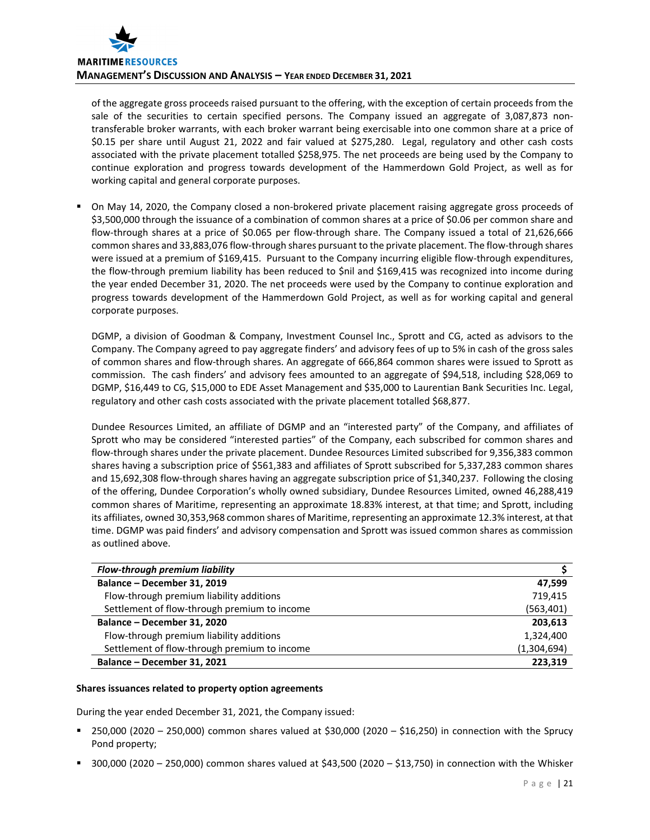of the aggregate gross proceeds raised pursuant to the offering, with the exception of certain proceeds from the sale of the securities to certain specified persons. The Company issued an aggregate of 3,087,873 nontransferable broker warrants, with each broker warrant being exercisable into one common share at a price of \$0.15 per share until August 21, 2022 and fair valued at \$275,280. Legal, regulatory and other cash costs associated with the private placement totalled \$258,975. The net proceeds are being used by the Company to continue exploration and progress towards development of the Hammerdown Gold Project, as well as for working capital and general corporate purposes.

 On May 14, 2020, the Company closed a non‐brokered private placement raising aggregate gross proceeds of \$3,500,000 through the issuance of a combination of common shares at a price of \$0.06 per common share and flow-through shares at a price of \$0.065 per flow-through share. The Company issued a total of 21,626,666 common shares and 33,883,076 flow‐through shares pursuant to the private placement. The flow‐through shares were issued at a premium of \$169,415. Pursuant to the Company incurring eligible flow-through expenditures, the flow-through premium liability has been reduced to \$nil and \$169,415 was recognized into income during the year ended December 31, 2020. The net proceeds were used by the Company to continue exploration and progress towards development of the Hammerdown Gold Project, as well as for working capital and general corporate purposes.

DGMP, a division of Goodman & Company, Investment Counsel Inc., Sprott and CG, acted as advisors to the Company. The Company agreed to pay aggregate finders' and advisory fees of up to 5% in cash of the gross sales of common shares and flow‐through shares. An aggregate of 666,864 common shares were issued to Sprott as commission. The cash finders' and advisory fees amounted to an aggregate of \$94,518, including \$28,069 to DGMP, \$16,449 to CG, \$15,000 to EDE Asset Management and \$35,000 to Laurentian Bank Securities Inc. Legal, regulatory and other cash costs associated with the private placement totalled \$68,877.

Dundee Resources Limited, an affiliate of DGMP and an "interested party" of the Company, and affiliates of Sprott who may be considered "interested parties" of the Company, each subscribed for common shares and flow-through shares under the private placement. Dundee Resources Limited subscribed for 9,356,383 common shares having a subscription price of \$561,383 and affiliates of Sprott subscribed for 5,337,283 common shares and 15,692,308 flow-through shares having an aggregate subscription price of \$1,340,237. Following the closing of the offering, Dundee Corporation's wholly owned subsidiary, Dundee Resources Limited, owned 46,288,419 common shares of Maritime, representing an approximate 18.83% interest, at that time; and Sprott, including its affiliates, owned 30,353,968 common shares of Maritime, representing an approximate 12.3% interest, at that time. DGMP was paid finders' and advisory compensation and Sprott was issued common shares as commission as outlined above.

| Flow-through premium liability               |             |
|----------------------------------------------|-------------|
| Balance - December 31, 2019                  | 47.599      |
| Flow-through premium liability additions     | 719.415     |
| Settlement of flow-through premium to income | (563, 401)  |
| Balance - December 31, 2020                  | 203,613     |
| Flow-through premium liability additions     | 1,324,400   |
| Settlement of flow-through premium to income | (1,304,694) |
| Balance - December 31, 2021                  | 223.319     |

# **Shares issuances related to property option agreements**

During the year ended December 31, 2021, the Company issued:

- $250,000$  (2020 250,000) common shares valued at \$30,000 (2020 \$16,250) in connection with the Sprucy Pond property;
- 300,000 (2020 250,000) common shares valued at \$43,500 (2020 \$13,750) in connection with the Whisker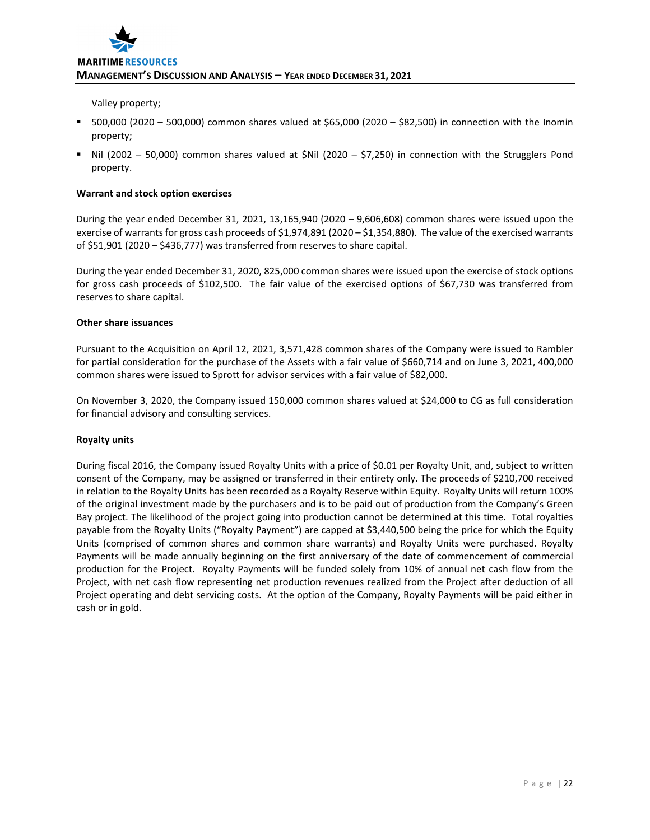

Valley property;

- 500,000 (2020 500,000) common shares valued at \$65,000 (2020 \$82,500) in connection with the Inomin property;
- Nil (2002 50,000) common shares valued at \$Nil (2020 \$7,250) in connection with the Strugglers Pond property.

#### **Warrant and stock option exercises**

During the year ended December 31, 2021, 13,165,940 (2020 – 9,606,608) common shares were issued upon the exercise of warrants for gross cash proceeds of \$1,974,891 (2020 – \$1,354,880). The value of the exercised warrants of \$51,901 (2020 – \$436,777) was transferred from reserves to share capital.

During the year ended December 31, 2020, 825,000 common shares were issued upon the exercise of stock options for gross cash proceeds of \$102,500. The fair value of the exercised options of \$67,730 was transferred from reserves to share capital.

#### **Other share issuances**

Pursuant to the Acquisition on April 12, 2021, 3,571,428 common shares of the Company were issued to Rambler for partial consideration for the purchase of the Assets with a fair value of \$660,714 and on June 3, 2021, 400,000 common shares were issued to Sprott for advisor services with a fair value of \$82,000.

On November 3, 2020, the Company issued 150,000 common shares valued at \$24,000 to CG as full consideration for financial advisory and consulting services.

# **Royalty units**

During fiscal 2016, the Company issued Royalty Units with a price of \$0.01 per Royalty Unit, and, subject to written consent of the Company, may be assigned or transferred in their entirety only. The proceeds of \$210,700 received in relation to the Royalty Units has been recorded as a Royalty Reserve within Equity. Royalty Units will return 100% of the original investment made by the purchasers and is to be paid out of production from the Company's Green Bay project. The likelihood of the project going into production cannot be determined at this time. Total royalties payable from the Royalty Units ("Royalty Payment") are capped at \$3,440,500 being the price for which the Equity Units (comprised of common shares and common share warrants) and Royalty Units were purchased. Royalty Payments will be made annually beginning on the first anniversary of the date of commencement of commercial production for the Project. Royalty Payments will be funded solely from 10% of annual net cash flow from the Project, with net cash flow representing net production revenues realized from the Project after deduction of all Project operating and debt servicing costs. At the option of the Company, Royalty Payments will be paid either in cash or in gold.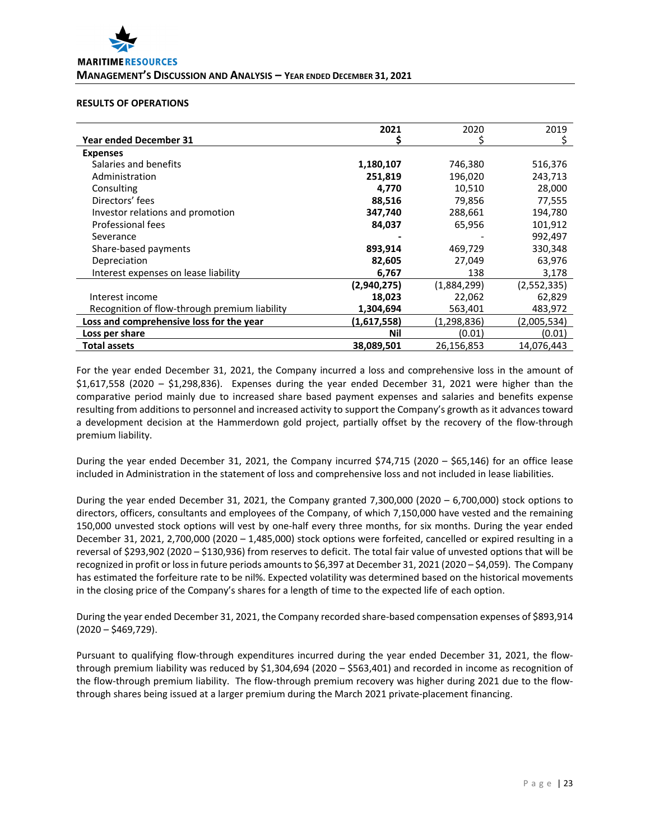# **RESULTS OF OPERATIONS**

|                                               | 2021        | 2020        | 2019        |
|-----------------------------------------------|-------------|-------------|-------------|
| <b>Year ended December 31</b>                 |             |             | S.          |
| <b>Expenses</b>                               |             |             |             |
| Salaries and benefits                         | 1,180,107   | 746,380     | 516,376     |
| Administration                                | 251,819     | 196,020     | 243,713     |
| Consulting                                    | 4,770       | 10,510      | 28,000      |
| Directors' fees                               | 88,516      | 79,856      | 77,555      |
| Investor relations and promotion              | 347,740     | 288,661     | 194,780     |
| Professional fees                             | 84,037      | 65,956      | 101,912     |
| Severance                                     |             |             | 992,497     |
| Share-based payments                          | 893,914     | 469,729     | 330,348     |
| Depreciation                                  | 82,605      | 27,049      | 63,976      |
| Interest expenses on lease liability          | 6,767       | 138         | 3,178       |
|                                               | (2,940,275) | (1,884,299) | (2,552,335) |
| Interest income                               | 18,023      | 22,062      | 62,829      |
| Recognition of flow-through premium liability | 1,304,694   | 563,401     | 483,972     |
| Loss and comprehensive loss for the year      | (1,617,558) | (1,298,836) | (2,005,534) |
| Loss per share                                | Nil         | (0.01)      | (0.01)      |
| Total assets                                  | 38,089,501  | 26,156,853  | 14,076,443  |

For the year ended December 31, 2021, the Company incurred a loss and comprehensive loss in the amount of \$1,617,558 (2020 – \$1,298,836). Expenses during the year ended December 31, 2021 were higher than the comparative period mainly due to increased share based payment expenses and salaries and benefits expense resulting from additions to personnel and increased activity to support the Company's growth as it advances toward a development decision at the Hammerdown gold project, partially offset by the recovery of the flow‐through premium liability.

During the year ended December 31, 2021, the Company incurred \$74,715 (2020 – \$65,146) for an office lease included in Administration in the statement of loss and comprehensive loss and not included in lease liabilities.

During the year ended December 31, 2021, the Company granted 7,300,000 (2020 – 6,700,000) stock options to directors, officers, consultants and employees of the Company, of which 7,150,000 have vested and the remaining 150,000 unvested stock options will vest by one‐half every three months, for six months. During the year ended December 31, 2021, 2,700,000 (2020 – 1,485,000) stock options were forfeited, cancelled or expired resulting in a reversal of \$293,902 (2020 – \$130,936) from reserves to deficit. The total fair value of unvested options that will be recognized in profit or loss in future periods amounts to \$6,397 at December 31, 2021 (2020 – \$4,059). The Company has estimated the forfeiture rate to be nil%. Expected volatility was determined based on the historical movements in the closing price of the Company's shares for a length of time to the expected life of each option.

During the year ended December 31, 2021, the Company recorded share‐based compensation expenses of \$893,914  $(2020 - $469, 729)$ .

Pursuant to qualifying flow‐through expenditures incurred during the year ended December 31, 2021, the flow‐ through premium liability was reduced by \$1,304,694 (2020 – \$563,401) and recorded in income as recognition of the flow-through premium liability. The flow-through premium recovery was higher during 2021 due to the flowthrough shares being issued at a larger premium during the March 2021 private-placement financing.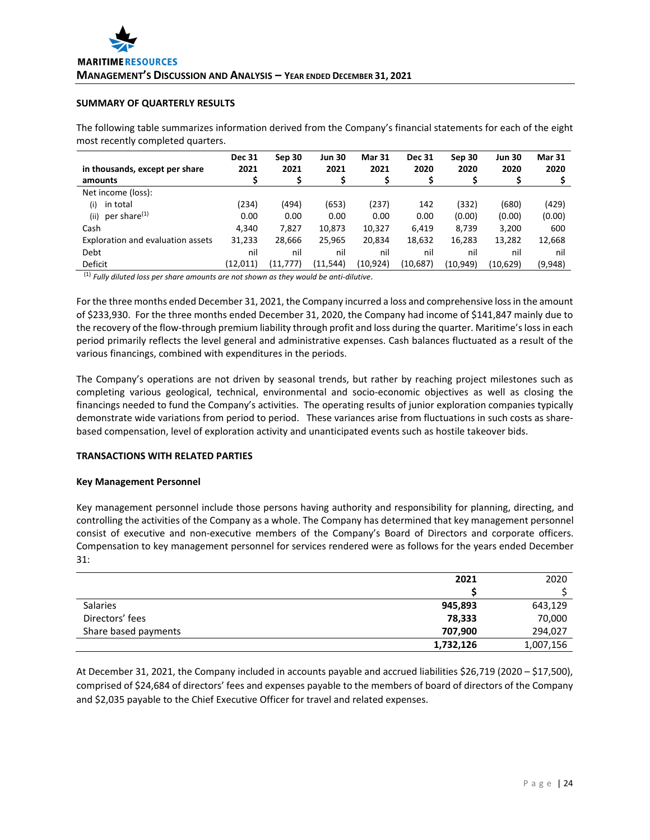# **SUMMARY OF QUARTERLY RESULTS**

The following table summarizes information derived from the Company's financial statements for each of the eight most recently completed quarters.

| in thousands, except per share    | <b>Dec 31</b><br>2021 | Sep 30<br>2021 | <b>Jun 30</b><br>2021 | <b>Mar 31</b><br>2021 | <b>Dec 31</b><br>2020 | Sep 30<br>2020 | <b>Jun 30</b><br>2020 | <b>Mar 31</b><br>2020 |
|-----------------------------------|-----------------------|----------------|-----------------------|-----------------------|-----------------------|----------------|-----------------------|-----------------------|
| amounts                           | Ş                     |                |                       |                       |                       |                |                       |                       |
| Net income (loss):                |                       |                |                       |                       |                       |                |                       |                       |
| in total<br>(i)                   | (234)                 | (494)          | (653)                 | (237)                 | 142                   | (332)          | (680)                 | (429)                 |
| per share <sup>(1)</sup><br>(ii)  | 0.00                  | 0.00           | 0.00                  | 0.00                  | 0.00                  | (0.00)         | (0.00)                | (0.00)                |
| Cash                              | 4.340                 | 7.827          | 10,873                | 10,327                | 6.419                 | 8,739          | 3,200                 | 600                   |
| Exploration and evaluation assets | 31,233                | 28,666         | 25,965                | 20,834                | 18,632                | 16,283         | 13,282                | 12,668                |
| Debt                              | nil                   | nil            | nil                   | nil                   | nil                   | nil            | nil                   | nil                   |
| Deficit                           | (12,011)              | (11, 777)      | (11, 544)             | (10,924)              | (10,687)              | (10, 949)      | (10,629)              | (9,948)               |

(1) *Fully diluted loss per share amounts are not shown as they would be anti‐dilutive*.

For the three months ended December 31, 2021, the Company incurred a loss and comprehensive lossin the amount of \$233,930. For the three months ended December 31, 2020, the Company had income of \$141,847 mainly due to the recovery of the flow-through premium liability through profit and loss during the quarter. Maritime's loss in each period primarily reflects the level general and administrative expenses. Cash balances fluctuated as a result of the various financings, combined with expenditures in the periods.

The Company's operations are not driven by seasonal trends, but rather by reaching project milestones such as completing various geological, technical, environmental and socio-economic objectives as well as closing the financings needed to fund the Company's activities. The operating results of junior exploration companies typically demonstrate wide variations from period to period. These variances arise from fluctuations in such costs as sharebased compensation, level of exploration activity and unanticipated events such as hostile takeover bids.

# **TRANSACTIONS WITH RELATED PARTIES**

#### **Key Management Personnel**

Key management personnel include those persons having authority and responsibility for planning, directing, and controlling the activities of the Company as a whole. The Company has determined that key management personnel consist of executive and non‐executive members of the Company's Board of Directors and corporate officers. Compensation to key management personnel for services rendered were as follows for the years ended December 31:

|                      | 2021      | 2020      |
|----------------------|-----------|-----------|
|                      |           |           |
| <b>Salaries</b>      | 945,893   | 643,129   |
| Directors' fees      | 78,333    | 70,000    |
| Share based payments | 707,900   | 294,027   |
|                      | 1,732,126 | 1,007,156 |

At December 31, 2021, the Company included in accounts payable and accrued liabilities \$26,719 (2020 – \$17,500), comprised of \$24,684 of directors' fees and expenses payable to the members of board of directors of the Company and \$2,035 payable to the Chief Executive Officer for travel and related expenses.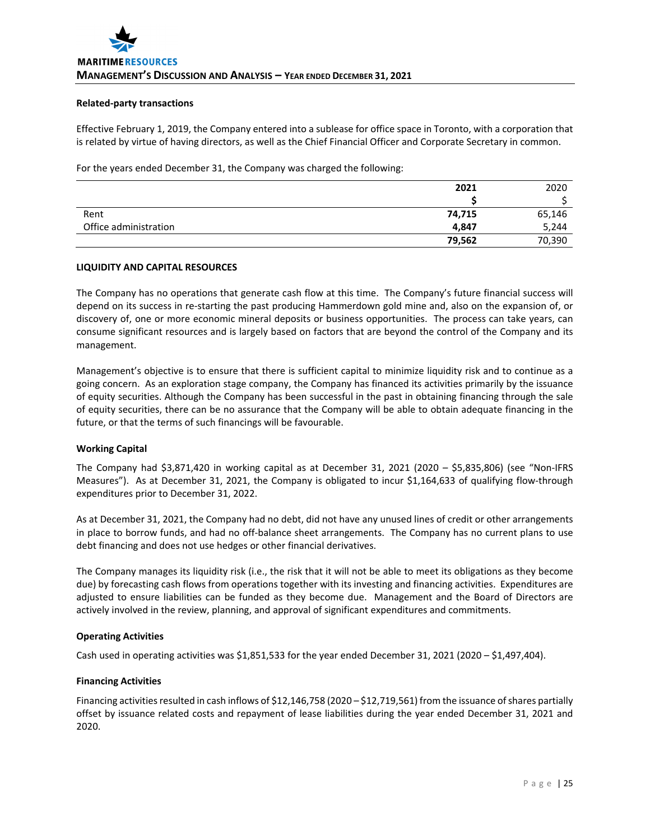#### **Related‐party transactions**

Effective February 1, 2019, the Company entered into a sublease for office space in Toronto, with a corporation that is related by virtue of having directors, as well as the Chief Financial Officer and Corporate Secretary in common.

For the years ended December 31, the Company was charged the following:

|                       | 2021   | 2020   |
|-----------------------|--------|--------|
|                       |        |        |
| Rent                  | 74,715 | 65,146 |
| Office administration | 4,847  | 5,244  |
|                       | 79,562 | 70,390 |

# **LIQUIDITY AND CAPITAL RESOURCES**

The Company has no operations that generate cash flow at this time. The Company's future financial success will depend on its success in re‐starting the past producing Hammerdown gold mine and, also on the expansion of, or discovery of, one or more economic mineral deposits or business opportunities. The process can take years, can consume significant resources and is largely based on factors that are beyond the control of the Company and its management.

Management's objective is to ensure that there is sufficient capital to minimize liquidity risk and to continue as a going concern. As an exploration stage company, the Company has financed its activities primarily by the issuance of equity securities. Although the Company has been successful in the past in obtaining financing through the sale of equity securities, there can be no assurance that the Company will be able to obtain adequate financing in the future, or that the terms of such financings will be favourable.

# **Working Capital**

The Company had \$3,871,420 in working capital as at December 31, 2021 (2020 – \$5,835,806) (see "Non‐IFRS Measures"). As at December 31, 2021, the Company is obligated to incur \$1,164,633 of qualifying flow‐through expenditures prior to December 31, 2022.

As at December 31, 2021, the Company had no debt, did not have any unused lines of credit or other arrangements in place to borrow funds, and had no off‐balance sheet arrangements. The Company has no current plans to use debt financing and does not use hedges or other financial derivatives.

The Company manages its liquidity risk (i.e., the risk that it will not be able to meet its obligations as they become due) by forecasting cash flows from operations together with its investing and financing activities. Expenditures are adjusted to ensure liabilities can be funded as they become due. Management and the Board of Directors are actively involved in the review, planning, and approval of significant expenditures and commitments.

# **Operating Activities**

Cash used in operating activities was \$1,851,533 for the year ended December 31, 2021 (2020 – \$1,497,404).

# **Financing Activities**

Financing activities resulted in cash inflows of \$12,146,758 (2020 – \$12,719,561) from the issuance of shares partially offset by issuance related costs and repayment of lease liabilities during the year ended December 31, 2021 and 2020.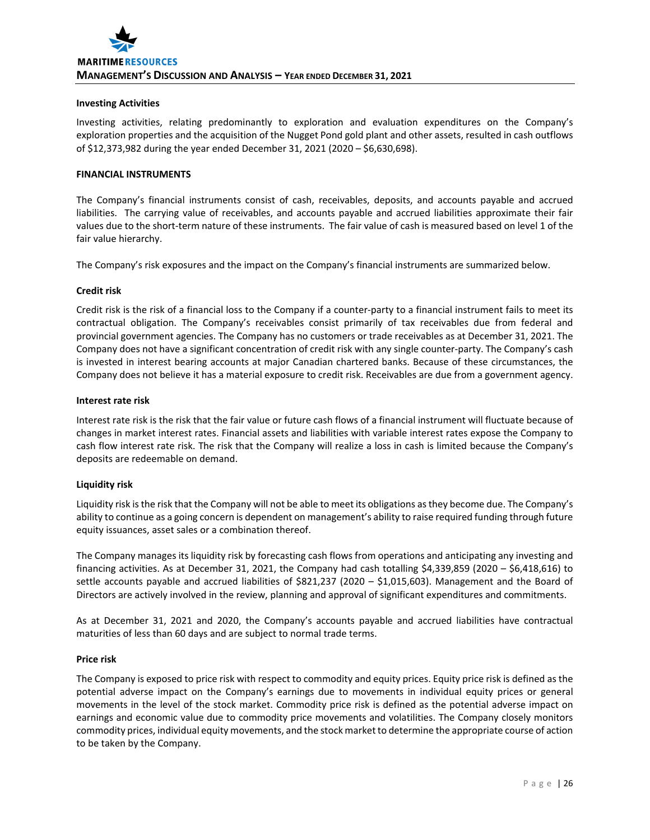# **Investing Activities**

Investing activities, relating predominantly to exploration and evaluation expenditures on the Company's exploration properties and the acquisition of the Nugget Pond gold plant and other assets, resulted in cash outflows of \$12,373,982 during the year ended December 31, 2021 (2020 – \$6,630,698).

# **FINANCIAL INSTRUMENTS**

The Company's financial instruments consist of cash, receivables, deposits, and accounts payable and accrued liabilities. The carrying value of receivables, and accounts payable and accrued liabilities approximate their fair values due to the short-term nature of these instruments. The fair value of cash is measured based on level 1 of the fair value hierarchy.

The Company's risk exposures and the impact on the Company's financial instruments are summarized below.

# **Credit risk**

Credit risk is the risk of a financial loss to the Company if a counter‐party to a financial instrument fails to meet its contractual obligation. The Company's receivables consist primarily of tax receivables due from federal and provincial government agencies. The Company has no customers or trade receivables as at December 31, 2021. The Company does not have a significant concentration of credit risk with any single counter‐party. The Company's cash is invested in interest bearing accounts at major Canadian chartered banks. Because of these circumstances, the Company does not believe it has a material exposure to credit risk. Receivables are due from a government agency.

# **Interest rate risk**

Interest rate risk is the risk that the fair value or future cash flows of a financial instrument will fluctuate because of changes in market interest rates. Financial assets and liabilities with variable interest rates expose the Company to cash flow interest rate risk. The risk that the Company will realize a loss in cash is limited because the Company's deposits are redeemable on demand.

# **Liquidity risk**

Liquidity risk isthe risk that the Company will not be able to meet its obligations asthey become due. The Company's ability to continue as a going concern is dependent on management's ability to raise required funding through future equity issuances, asset sales or a combination thereof.

The Company manages its liquidity risk by forecasting cash flows from operations and anticipating any investing and financing activities. As at December 31, 2021, the Company had cash totalling \$4,339,859 (2020 – \$6,418,616) to settle accounts payable and accrued liabilities of \$821,237 (2020 – \$1,015,603). Management and the Board of Directors are actively involved in the review, planning and approval of significant expenditures and commitments.

As at December 31, 2021 and 2020, the Company's accounts payable and accrued liabilities have contractual maturities of less than 60 days and are subject to normal trade terms.

# **Price risk**

The Company is exposed to price risk with respect to commodity and equity prices. Equity price risk is defined as the potential adverse impact on the Company's earnings due to movements in individual equity prices or general movements in the level of the stock market. Commodity price risk is defined as the potential adverse impact on earnings and economic value due to commodity price movements and volatilities. The Company closely monitors commodity prices, individual equity movements, and the stock market to determine the appropriate course of action to be taken by the Company.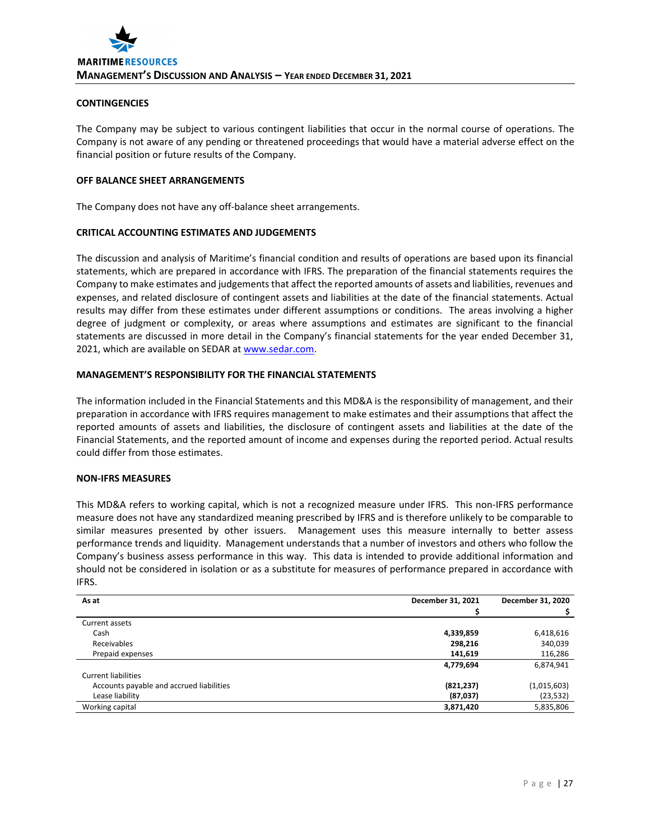# **CONTINGENCIES**

The Company may be subject to various contingent liabilities that occur in the normal course of operations. The Company is not aware of any pending or threatened proceedings that would have a material adverse effect on the financial position or future results of the Company.

# **OFF BALANCE SHEET ARRANGEMENTS**

The Company does not have any off-balance sheet arrangements.

# **CRITICAL ACCOUNTING ESTIMATES AND JUDGEMENTS**

The discussion and analysis of Maritime's financial condition and results of operations are based upon its financial statements, which are prepared in accordance with IFRS. The preparation of the financial statements requires the Company to make estimates and judgements that affect the reported amounts of assets and liabilities, revenues and expenses, and related disclosure of contingent assets and liabilities at the date of the financial statements. Actual results may differ from these estimates under different assumptions or conditions. The areas involving a higher degree of judgment or complexity, or areas where assumptions and estimates are significant to the financial statements are discussed in more detail in the Company's financial statements for the year ended December 31, 2021, which are available on SEDAR at www.sedar.com.

# **MANAGEMENT'S RESPONSIBILITY FOR THE FINANCIAL STATEMENTS**

The information included in the Financial Statements and this MD&A is the responsibility of management, and their preparation in accordance with IFRS requires management to make estimates and their assumptions that affect the reported amounts of assets and liabilities, the disclosure of contingent assets and liabilities at the date of the Financial Statements, and the reported amount of income and expenses during the reported period. Actual results could differ from those estimates.

# **NON‐IFRS MEASURES**

This MD&A refers to working capital, which is not a recognized measure under IFRS. This non‐IFRS performance measure does not have any standardized meaning prescribed by IFRS and is therefore unlikely to be comparable to similar measures presented by other issuers. Management uses this measure internally to better assess performance trends and liquidity. Management understands that a number of investors and others who follow the Company's business assess performance in this way. This data is intended to provide additional information and should not be considered in isolation or as a substitute for measures of performance prepared in accordance with IFRS.

| As at                                    | December 31, 2021 | December 31, 2020 |
|------------------------------------------|-------------------|-------------------|
|                                          |                   |                   |
| Current assets                           |                   |                   |
| Cash                                     | 4,339,859         | 6,418,616         |
| Receivables                              | 298,216           | 340,039           |
| Prepaid expenses                         | 141,619           | 116,286           |
|                                          | 4,779,694         | 6,874,941         |
| <b>Current liabilities</b>               |                   |                   |
| Accounts payable and accrued liabilities | (821, 237)        | (1,015,603)       |
| Lease liability                          | (87, 037)         | (23, 532)         |
| Working capital                          | 3,871,420         | 5,835,806         |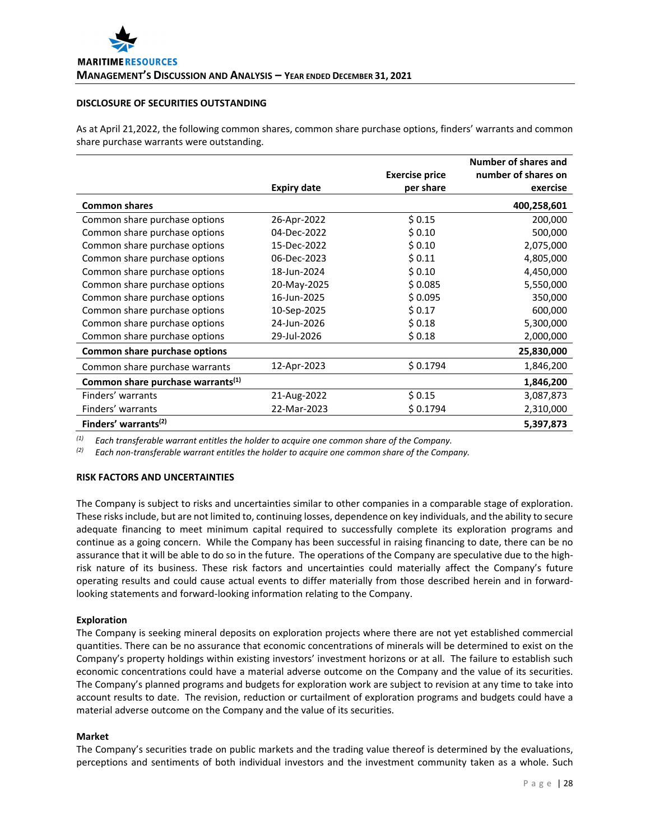# **DISCLOSURE OF SECURITIES OUTSTANDING**

As at April 21,2022, the following common shares, common share purchase options, finders' warrants and common share purchase warrants were outstanding.

|                                               |                    | <b>Exercise price</b> | Number of shares and<br>number of shares on |
|-----------------------------------------------|--------------------|-----------------------|---------------------------------------------|
|                                               | <b>Expiry date</b> | per share             | exercise                                    |
| <b>Common shares</b>                          |                    |                       | 400,258,601                                 |
| Common share purchase options                 | 26-Apr-2022        | \$0.15                | 200,000                                     |
| Common share purchase options                 | 04-Dec-2022        | \$0.10                | 500,000                                     |
| Common share purchase options                 | 15-Dec-2022        | \$0.10                | 2,075,000                                   |
| Common share purchase options                 | 06-Dec-2023        | \$0.11                | 4,805,000                                   |
| Common share purchase options                 | 18-Jun-2024        | \$0.10                | 4,450,000                                   |
| Common share purchase options                 | 20-May-2025        | \$0.085               | 5,550,000                                   |
| Common share purchase options                 | 16-Jun-2025        | \$0.095               | 350,000                                     |
| Common share purchase options                 | 10-Sep-2025        | \$0.17                | 600,000                                     |
| Common share purchase options                 | 24-Jun-2026        | \$0.18                | 5,300,000                                   |
| Common share purchase options                 | 29-Jul-2026        | \$0.18                | 2,000,000                                   |
| Common share purchase options                 |                    |                       | 25,830,000                                  |
| Common share purchase warrants                | 12-Apr-2023        | \$0.1794              | 1,846,200                                   |
| Common share purchase warrants <sup>(1)</sup> |                    |                       | 1,846,200                                   |
| Finders' warrants                             | 21-Aug-2022        | \$0.15                | 3,087,873                                   |
| Finders' warrants                             | 22-Mar-2023        | \$0.1794              | 2,310,000                                   |
| Finders' warrants <sup>(2)</sup>              |                    |                       | 5,397,873                                   |

*(1) Each transferable warrant entitles the holder to acquire one common share of the Company.*

*(2) Each non‐transferable warrant entitles the holder to acquire one common share of the Company.*

# **RISK FACTORS AND UNCERTAINTIES**

The Company is subject to risks and uncertainties similar to other companies in a comparable stage of exploration. These risks include, but are not limited to, continuing losses, dependence on key individuals, and the ability to secure adequate financing to meet minimum capital required to successfully complete its exploration programs and continue as a going concern. While the Company has been successful in raising financing to date, there can be no assurance that it will be able to do so in the future. The operations of the Company are speculative due to the highrisk nature of its business. These risk factors and uncertainties could materially affect the Company's future operating results and could cause actual events to differ materially from those described herein and in forward‐ looking statements and forward‐looking information relating to the Company.

# **Exploration**

The Company is seeking mineral deposits on exploration projects where there are not yet established commercial quantities. There can be no assurance that economic concentrations of minerals will be determined to exist on the Company's property holdings within existing investors' investment horizons or at all. The failure to establish such economic concentrations could have a material adverse outcome on the Company and the value of its securities. The Company's planned programs and budgets for exploration work are subject to revision at any time to take into account results to date. The revision, reduction or curtailment of exploration programs and budgets could have a material adverse outcome on the Company and the value of its securities.

# **Market**

The Company's securities trade on public markets and the trading value thereof is determined by the evaluations, perceptions and sentiments of both individual investors and the investment community taken as a whole. Such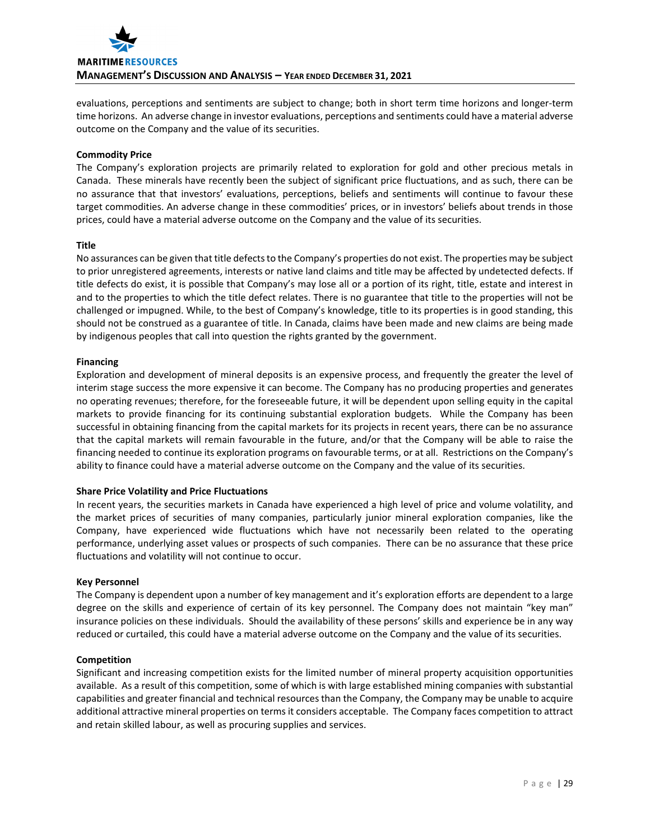

evaluations, perceptions and sentiments are subject to change; both in short term time horizons and longer‐term time horizons. An adverse change in investor evaluations, perceptions and sentiments could have a material adverse outcome on the Company and the value of its securities.

# **Commodity Price**

The Company's exploration projects are primarily related to exploration for gold and other precious metals in Canada. These minerals have recently been the subject of significant price fluctuations, and as such, there can be no assurance that that investors' evaluations, perceptions, beliefs and sentiments will continue to favour these target commodities. An adverse change in these commodities' prices, or in investors' beliefs about trends in those prices, could have a material adverse outcome on the Company and the value of its securities.

# **Title**

No assurances can be given that title defects to the Company's properties do not exist. The properties may be subject to prior unregistered agreements, interests or native land claims and title may be affected by undetected defects. If title defects do exist, it is possible that Company's may lose all or a portion of its right, title, estate and interest in and to the properties to which the title defect relates. There is no guarantee that title to the properties will not be challenged or impugned. While, to the best of Company's knowledge, title to its properties is in good standing, this should not be construed as a guarantee of title. In Canada, claims have been made and new claims are being made by indigenous peoples that call into question the rights granted by the government.

# **Financing**

Exploration and development of mineral deposits is an expensive process, and frequently the greater the level of interim stage success the more expensive it can become. The Company has no producing properties and generates no operating revenues; therefore, for the foreseeable future, it will be dependent upon selling equity in the capital markets to provide financing for its continuing substantial exploration budgets. While the Company has been successful in obtaining financing from the capital markets for its projects in recent years, there can be no assurance that the capital markets will remain favourable in the future, and/or that the Company will be able to raise the financing needed to continue its exploration programs on favourable terms, or at all. Restrictions on the Company's ability to finance could have a material adverse outcome on the Company and the value of its securities.

# **Share Price Volatility and Price Fluctuations**

In recent years, the securities markets in Canada have experienced a high level of price and volume volatility, and the market prices of securities of many companies, particularly junior mineral exploration companies, like the Company, have experienced wide fluctuations which have not necessarily been related to the operating performance, underlying asset values or prospects of such companies. There can be no assurance that these price fluctuations and volatility will not continue to occur.

# **Key Personnel**

The Company is dependent upon a number of key management and it's exploration efforts are dependent to a large degree on the skills and experience of certain of its key personnel. The Company does not maintain "key man" insurance policies on these individuals. Should the availability of these persons' skills and experience be in any way reduced or curtailed, this could have a material adverse outcome on the Company and the value of its securities.

# **Competition**

Significant and increasing competition exists for the limited number of mineral property acquisition opportunities available. As a result of this competition, some of which is with large established mining companies with substantial capabilities and greater financial and technical resources than the Company, the Company may be unable to acquire additional attractive mineral properties on terms it considers acceptable. The Company faces competition to attract and retain skilled labour, as well as procuring supplies and services.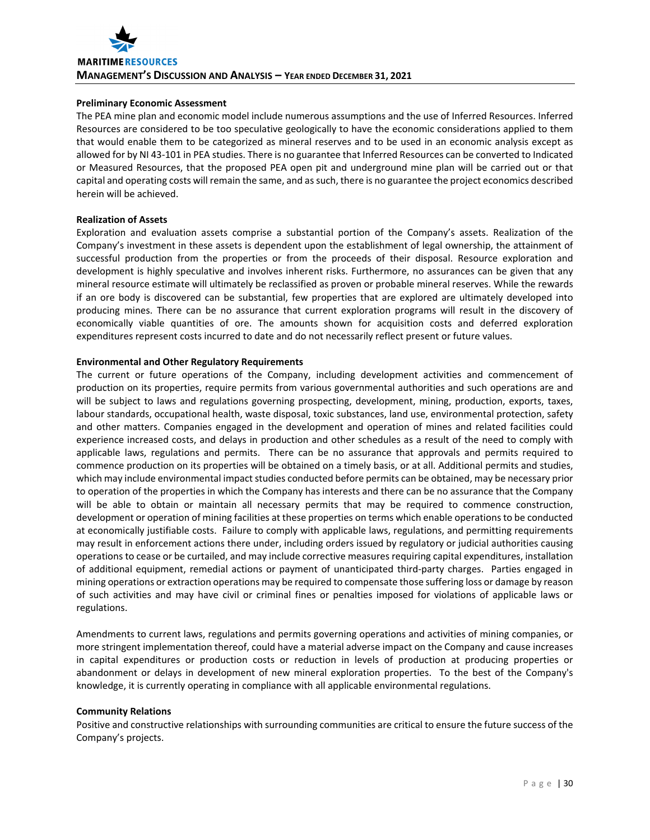# **Preliminary Economic Assessment**

The PEA mine plan and economic model include numerous assumptions and the use of Inferred Resources. Inferred Resources are considered to be too speculative geologically to have the economic considerations applied to them that would enable them to be categorized as mineral reserves and to be used in an economic analysis except as allowed for by NI 43‐101 in PEA studies. There is no guarantee that Inferred Resources can be converted to Indicated or Measured Resources, that the proposed PEA open pit and underground mine plan will be carried out or that capital and operating costs will remain the same, and assuch, there is no guarantee the project economics described herein will be achieved.

# **Realization of Assets**

Exploration and evaluation assets comprise a substantial portion of the Company's assets. Realization of the Company's investment in these assets is dependent upon the establishment of legal ownership, the attainment of successful production from the properties or from the proceeds of their disposal. Resource exploration and development is highly speculative and involves inherent risks. Furthermore, no assurances can be given that any mineral resource estimate will ultimately be reclassified as proven or probable mineral reserves. While the rewards if an ore body is discovered can be substantial, few properties that are explored are ultimately developed into producing mines. There can be no assurance that current exploration programs will result in the discovery of economically viable quantities of ore. The amounts shown for acquisition costs and deferred exploration expenditures represent costs incurred to date and do not necessarily reflect present or future values.

# **Environmental and Other Regulatory Requirements**

The current or future operations of the Company, including development activities and commencement of production on its properties, require permits from various governmental authorities and such operations are and will be subject to laws and regulations governing prospecting, development, mining, production, exports, taxes, labour standards, occupational health, waste disposal, toxic substances, land use, environmental protection, safety and other matters. Companies engaged in the development and operation of mines and related facilities could experience increased costs, and delays in production and other schedules as a result of the need to comply with applicable laws, regulations and permits. There can be no assurance that approvals and permits required to commence production on its properties will be obtained on a timely basis, or at all. Additional permits and studies, which may include environmental impact studies conducted before permits can be obtained, may be necessary prior to operation of the properties in which the Company has interests and there can be no assurance that the Company will be able to obtain or maintain all necessary permits that may be required to commence construction, development or operation of mining facilities at these properties on terms which enable operationsto be conducted at economically justifiable costs. Failure to comply with applicable laws, regulations, and permitting requirements may result in enforcement actions there under, including orders issued by regulatory or judicial authorities causing operations to cease or be curtailed, and may include corrective measures requiring capital expenditures, installation of additional equipment, remedial actions or payment of unanticipated third‐party charges. Parties engaged in mining operations or extraction operations may be required to compensate those suffering loss or damage by reason of such activities and may have civil or criminal fines or penalties imposed for violations of applicable laws or regulations.

Amendments to current laws, regulations and permits governing operations and activities of mining companies, or more stringent implementation thereof, could have a material adverse impact on the Company and cause increases in capital expenditures or production costs or reduction in levels of production at producing properties or abandonment or delays in development of new mineral exploration properties. To the best of the Company's knowledge, it is currently operating in compliance with all applicable environmental regulations.

# **Community Relations**

Positive and constructive relationships with surrounding communities are critical to ensure the future success of the Company's projects.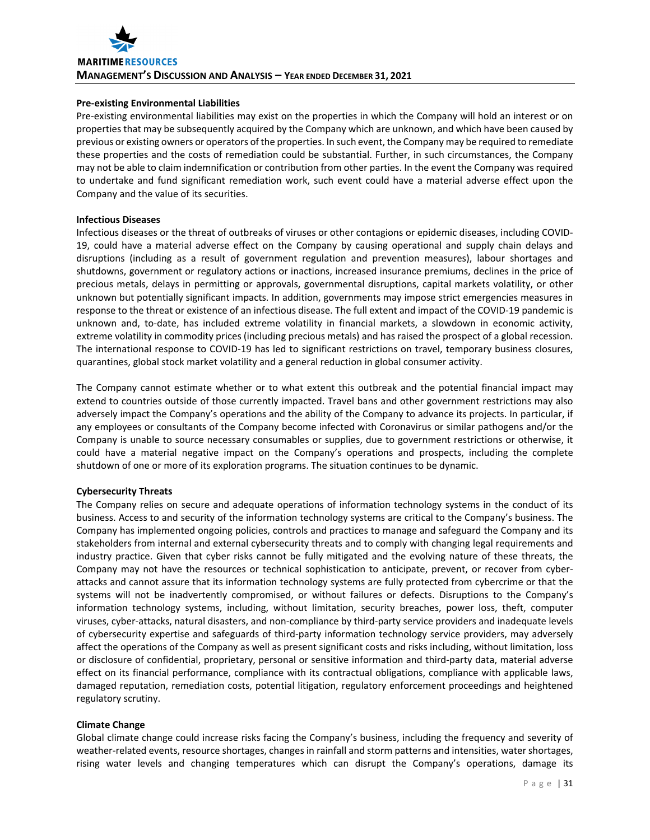# **Pre‐existing Environmental Liabilities**

Pre-existing environmental liabilities may exist on the properties in which the Company will hold an interest or on properties that may be subsequently acquired by the Company which are unknown, and which have been caused by previous or existing owners or operators of the properties. In such event, the Company may be required to remediate these properties and the costs of remediation could be substantial. Further, in such circumstances, the Company may not be able to claim indemnification or contribution from other parties. In the event the Company was required to undertake and fund significant remediation work, such event could have a material adverse effect upon the Company and the value of its securities.

# **Infectious Diseases**

Infectious diseases or the threat of outbreaks of viruses or other contagions or epidemic diseases, including COVID‐ 19, could have a material adverse effect on the Company by causing operational and supply chain delays and disruptions (including as a result of government regulation and prevention measures), labour shortages and shutdowns, government or regulatory actions or inactions, increased insurance premiums, declines in the price of precious metals, delays in permitting or approvals, governmental disruptions, capital markets volatility, or other unknown but potentially significant impacts. In addition, governments may impose strict emergencies measures in response to the threat or existence of an infectious disease. The full extent and impact of the COVID‐19 pandemic is unknown and, to-date, has included extreme volatility in financial markets, a slowdown in economic activity, extreme volatility in commodity prices (including precious metals) and has raised the prospect of a global recession. The international response to COVID‐19 has led to significant restrictions on travel, temporary business closures, quarantines, global stock market volatility and a general reduction in global consumer activity.

The Company cannot estimate whether or to what extent this outbreak and the potential financial impact may extend to countries outside of those currently impacted. Travel bans and other government restrictions may also adversely impact the Company's operations and the ability of the Company to advance its projects. In particular, if any employees or consultants of the Company become infected with Coronavirus or similar pathogens and/or the Company is unable to source necessary consumables or supplies, due to government restrictions or otherwise, it could have a material negative impact on the Company's operations and prospects, including the complete shutdown of one or more of its exploration programs. The situation continues to be dynamic.

# **Cybersecurity Threats**

The Company relies on secure and adequate operations of information technology systems in the conduct of its business. Access to and security of the information technology systems are critical to the Company's business. The Company has implemented ongoing policies, controls and practices to manage and safeguard the Company and its stakeholders from internal and external cybersecurity threats and to comply with changing legal requirements and industry practice. Given that cyber risks cannot be fully mitigated and the evolving nature of these threats, the Company may not have the resources or technical sophistication to anticipate, prevent, or recover from cyber‐ attacks and cannot assure that its information technology systems are fully protected from cybercrime or that the systems will not be inadvertently compromised, or without failures or defects. Disruptions to the Company's information technology systems, including, without limitation, security breaches, power loss, theft, computer viruses, cyber‐attacks, natural disasters, and non‐compliance by third‐party service providers and inadequate levels of cybersecurity expertise and safeguards of third‐party information technology service providers, may adversely affect the operations of the Company as well as present significant costs and risks including, without limitation, loss or disclosure of confidential, proprietary, personal or sensitive information and third‐party data, material adverse effect on its financial performance, compliance with its contractual obligations, compliance with applicable laws, damaged reputation, remediation costs, potential litigation, regulatory enforcement proceedings and heightened regulatory scrutiny.

# **Climate Change**

Global climate change could increase risks facing the Company's business, including the frequency and severity of weather-related events, resource shortages, changes in rainfall and storm patterns and intensities, water shortages, rising water levels and changing temperatures which can disrupt the Company's operations, damage its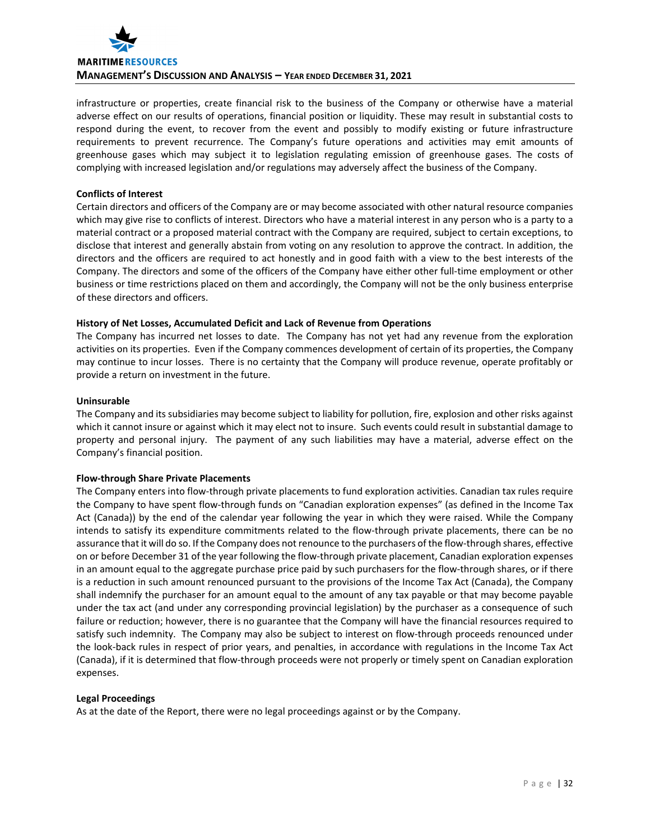

infrastructure or properties, create financial risk to the business of the Company or otherwise have a material adverse effect on our results of operations, financial position or liquidity. These may result in substantial costs to respond during the event, to recover from the event and possibly to modify existing or future infrastructure requirements to prevent recurrence. The Company's future operations and activities may emit amounts of greenhouse gases which may subject it to legislation regulating emission of greenhouse gases. The costs of complying with increased legislation and/or regulations may adversely affect the business of the Company.

# **Conflicts of Interest**

Certain directors and officers of the Company are or may become associated with other natural resource companies which may give rise to conflicts of interest. Directors who have a material interest in any person who is a party to a material contract or a proposed material contract with the Company are required, subject to certain exceptions, to disclose that interest and generally abstain from voting on any resolution to approve the contract. In addition, the directors and the officers are required to act honestly and in good faith with a view to the best interests of the Company. The directors and some of the officers of the Company have either other full‐time employment or other business or time restrictions placed on them and accordingly, the Company will not be the only business enterprise of these directors and officers.

# **History of Net Losses, Accumulated Deficit and Lack of Revenue from Operations**

The Company has incurred net losses to date. The Company has not yet had any revenue from the exploration activities on its properties. Even if the Company commences development of certain of its properties, the Company may continue to incur losses. There is no certainty that the Company will produce revenue, operate profitably or provide a return on investment in the future.

# **Uninsurable**

The Company and its subsidiaries may become subject to liability for pollution, fire, explosion and other risks against which it cannot insure or against which it may elect not to insure. Such events could result in substantial damage to property and personal injury. The payment of any such liabilities may have a material, adverse effect on the Company's financial position.

# **Flow‐through Share Private Placements**

The Company enters into flow‐through private placements to fund exploration activities. Canadian tax rules require the Company to have spent flow‐through funds on "Canadian exploration expenses" (as defined in the Income Tax Act (Canada)) by the end of the calendar year following the year in which they were raised. While the Company intends to satisfy its expenditure commitments related to the flow‐through private placements, there can be no assurance that it will do so. If the Company does not renounce to the purchasers of the flow-through shares, effective on or before December 31 of the year following the flow‐through private placement, Canadian exploration expenses in an amount equal to the aggregate purchase price paid by such purchasers for the flow-through shares, or if there is a reduction in such amount renounced pursuant to the provisions of the Income Tax Act (Canada), the Company shall indemnify the purchaser for an amount equal to the amount of any tax payable or that may become payable under the tax act (and under any corresponding provincial legislation) by the purchaser as a consequence of such failure or reduction; however, there is no guarantee that the Company will have the financial resources required to satisfy such indemnity. The Company may also be subject to interest on flow-through proceeds renounced under the look‐back rules in respect of prior years, and penalties, in accordance with regulations in the Income Tax Act (Canada), if it is determined that flow‐through proceeds were not properly or timely spent on Canadian exploration expenses.

# **Legal Proceedings**

As at the date of the Report, there were no legal proceedings against or by the Company.